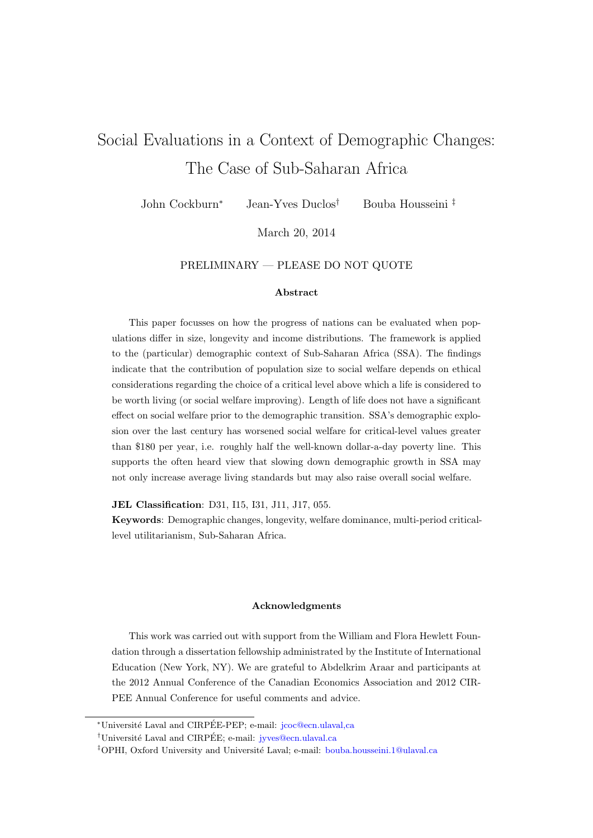# Social Evaluations in a Context of Demographic Changes: The Case of Sub-Saharan Africa

John Cockburn<sup>∗</sup> Jean-Yves Duclos† Bouba Housseini ‡

March 20, 2014

## PRELIMINARY — PLEASE DO NOT QUOTE

#### Abstract

This paper focusses on how the progress of nations can be evaluated when populations differ in size, longevity and income distributions. The framework is applied to the (particular) demographic context of Sub-Saharan Africa (SSA). The findings indicate that the contribution of population size to social welfare depends on ethical considerations regarding the choice of a critical level above which a life is considered to be worth living (or social welfare improving). Length of life does not have a significant effect on social welfare prior to the demographic transition. SSA's demographic explosion over the last century has worsened social welfare for critical-level values greater than \$180 per year, i.e. roughly half the well-known dollar-a-day poverty line. This supports the often heard view that slowing down demographic growth in SSA may not only increase average living standards but may also raise overall social welfare.

JEL Classification: D31, I15, I31, J11, J17, 055.

Keywords: Demographic changes, longevity, welfare dominance, multi-period criticallevel utilitarianism, Sub-Saharan Africa.

#### Acknowledgments

This work was carried out with support from the William and Flora Hewlett Foundation through a dissertation fellowship administrated by the Institute of International Education (New York, NY). We are grateful to Abdelkrim Araar and participants at the 2012 Annual Conference of the Canadian Economics Association and 2012 CIR-PEE Annual Conference for useful comments and advice.

<sup>\*</sup>Université Laval and CIRPÉE-PEP; e-mail: jcoc@ecn.ulaval.ca

<sup>&</sup>lt;sup>†</sup>Université Laval and CIRPÉE; e-mail:  $i$ yves@ecn.ulaval.ca

<sup>&</sup>lt;sup>‡</sup>OPHI, Oxford University and Université Laval; e-mail: <bouba.housseini.1@ulaval.ca>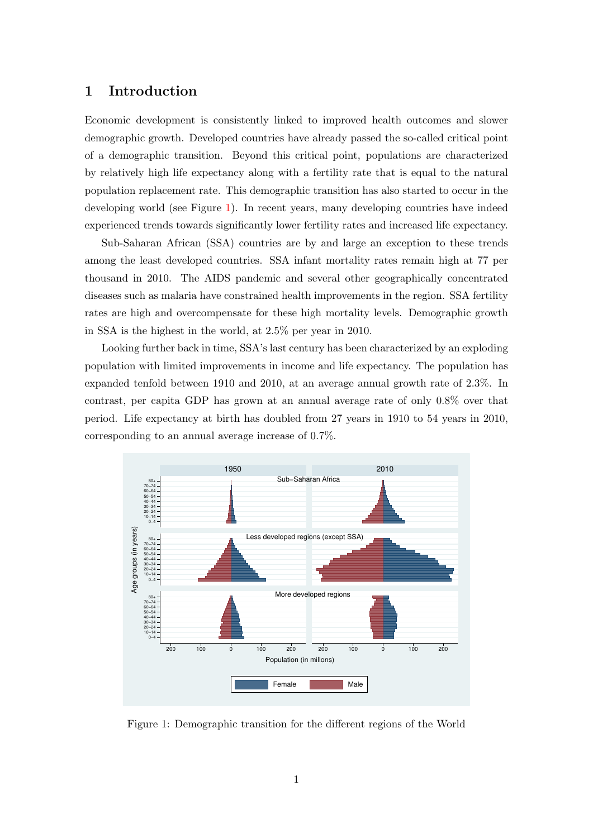# 1 Introduction

Economic development is consistently linked to improved health outcomes and slower demographic growth. Developed countries have already passed the so-called critical point of a demographic transition. Beyond this critical point, populations are characterized by relatively high life expectancy along with a fertility rate that is equal to the natural population replacement rate. This demographic transition has also started to occur in the developing world (see Figure [1\)](#page-1-0). In recent years, many developing countries have indeed experienced trends towards significantly lower fertility rates and increased life expectancy.

Sub-Saharan African (SSA) countries are by and large an exception to these trends among the least developed countries. SSA infant mortality rates remain high at 77 per thousand in 2010. The AIDS pandemic and several other geographically concentrated diseases such as malaria have constrained health improvements in the region. SSA fertility rates are high and overcompensate for these high mortality levels. Demographic growth in SSA is the highest in the world, at 2.5% per year in 2010.

Looking further back in time, SSA's last century has been characterized by an exploding population with limited improvements in income and life expectancy. The population has expanded tenfold between 1910 and 2010, at an average annual growth rate of 2.3%. In contrast, per capita GDP has grown at an annual average rate of only 0.8% over that period. Life expectancy at birth has doubled from 27 years in 1910 to 54 years in 2010, corresponding to an annual average increase of 0.7%.

<span id="page-1-0"></span>

Figure 1: Demographic transition for the different regions of the World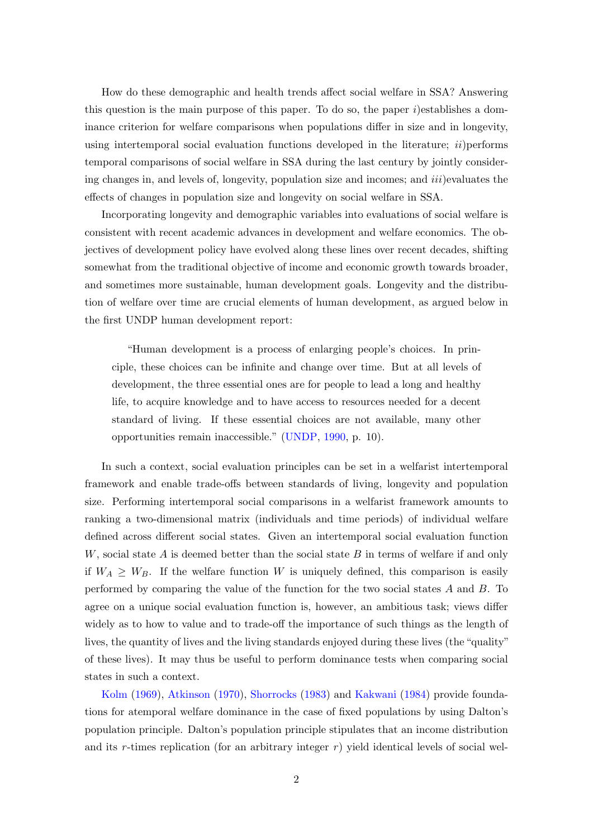How do these demographic and health trends affect social welfare in SSA? Answering this question is the main purpose of this paper. To do so, the paper  $i$ )establishes a dominance criterion for welfare comparisons when populations differ in size and in longevity, using intertemporal social evaluation functions developed in the literature;  $ii$ ) performs temporal comparisons of social welfare in SSA during the last century by jointly considering changes in, and levels of, longevity, population size and incomes; and  $iii)$  evaluates the effects of changes in population size and longevity on social welfare in SSA.

Incorporating longevity and demographic variables into evaluations of social welfare is consistent with recent academic advances in development and welfare economics. The objectives of development policy have evolved along these lines over recent decades, shifting somewhat from the traditional objective of income and economic growth towards broader, and sometimes more sustainable, human development goals. Longevity and the distribution of welfare over time are crucial elements of human development, as argued below in the first UNDP human development report:

"Human development is a process of enlarging people's choices. In principle, these choices can be infinite and change over time. But at all levels of development, the three essential ones are for people to lead a long and healthy life, to acquire knowledge and to have access to resources needed for a decent standard of living. If these essential choices are not available, many other opportunities remain inaccessible." [\(UNDP,](#page-36-0) [1990,](#page-36-0) p. 10).

In such a context, social evaluation principles can be set in a welfarist intertemporal framework and enable trade-offs between standards of living, longevity and population size. Performing intertemporal social comparisons in a welfarist framework amounts to ranking a two-dimensional matrix (individuals and time periods) of individual welfare defined across different social states. Given an intertemporal social evaluation function  $W$ , social state A is deemed better than the social state B in terms of welfare if and only if  $W_A \geq W_B$ . If the welfare function W is uniquely defined, this comparison is easily performed by comparing the value of the function for the two social states  $A$  and  $B$ . To agree on a unique social evaluation function is, however, an ambitious task; views differ widely as to how to value and to trade-off the importance of such things as the length of lives, the quantity of lives and the living standards enjoyed during these lives (the "quality" of these lives). It may thus be useful to perform dominance tests when comparing social states in such a context.

[Kolm](#page-35-0) [\(1969\)](#page-35-0), [Atkinson](#page-34-0) [\(1970\)](#page-34-0), [Shorrocks](#page-36-1) [\(1983\)](#page-36-1) and [Kakwani](#page-35-1) [\(1984\)](#page-35-1) provide foundations for atemporal welfare dominance in the case of fixed populations by using Dalton's population principle. Dalton's population principle stipulates that an income distribution and its r-times replication (for an arbitrary integer  $r$ ) yield identical levels of social wel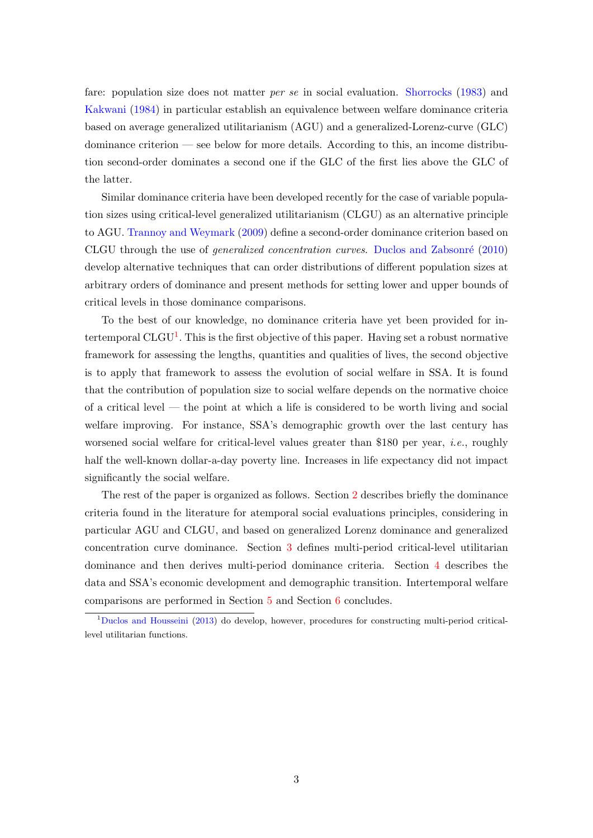fare: population size does not matter *per se* in social evaluation. [Shorrocks](#page-36-1) [\(1983\)](#page-36-1) and [Kakwani](#page-35-1) [\(1984\)](#page-35-1) in particular establish an equivalence between welfare dominance criteria based on average generalized utilitarianism (AGU) and a generalized-Lorenz-curve (GLC) dominance criterion — see below for more details. According to this, an income distribution second-order dominates a second one if the GLC of the first lies above the GLC of the latter.

Similar dominance criteria have been developed recently for the case of variable population sizes using critical-level generalized utilitarianism (CLGU) as an alternative principle to AGU. [Trannoy and Weymark](#page-36-2) [\(2009\)](#page-36-2) define a second-order dominance criterion based on CLGU through the use of generalized concentration curves. [Duclos and Zabsonr´e](#page-35-2) [\(2010\)](#page-35-2) develop alternative techniques that can order distributions of different population sizes at arbitrary orders of dominance and present methods for setting lower and upper bounds of critical levels in those dominance comparisons.

To the best of our knowledge, no dominance criteria have yet been provided for intertemporal  $CLGU<sup>1</sup>$  $CLGU<sup>1</sup>$  $CLGU<sup>1</sup>$ . This is the first objective of this paper. Having set a robust normative framework for assessing the lengths, quantities and qualities of lives, the second objective is to apply that framework to assess the evolution of social welfare in SSA. It is found that the contribution of population size to social welfare depends on the normative choice of a critical level — the point at which a life is considered to be worth living and social welfare improving. For instance, SSA's demographic growth over the last century has worsened social welfare for critical-level values greater than \$180 per year, *i.e.*, roughly half the well-known dollar-a-day poverty line. Increases in life expectancy did not impact significantly the social welfare.

The rest of the paper is organized as follows. Section [2](#page-4-0) describes briefly the dominance criteria found in the literature for atemporal social evaluations principles, considering in particular AGU and CLGU, and based on generalized Lorenz dominance and generalized concentration curve dominance. Section [3](#page-9-0) defines multi-period critical-level utilitarian dominance and then derives multi-period dominance criteria. Section [4](#page-16-0) describes the data and SSA's economic development and demographic transition. Intertemporal welfare comparisons are performed in Section [5](#page-21-0) and Section [6](#page-28-0) concludes.

<span id="page-3-0"></span><sup>1</sup>[Duclos and Housseini](#page-35-3) [\(2013\)](#page-35-3) do develop, however, procedures for constructing multi-period criticallevel utilitarian functions.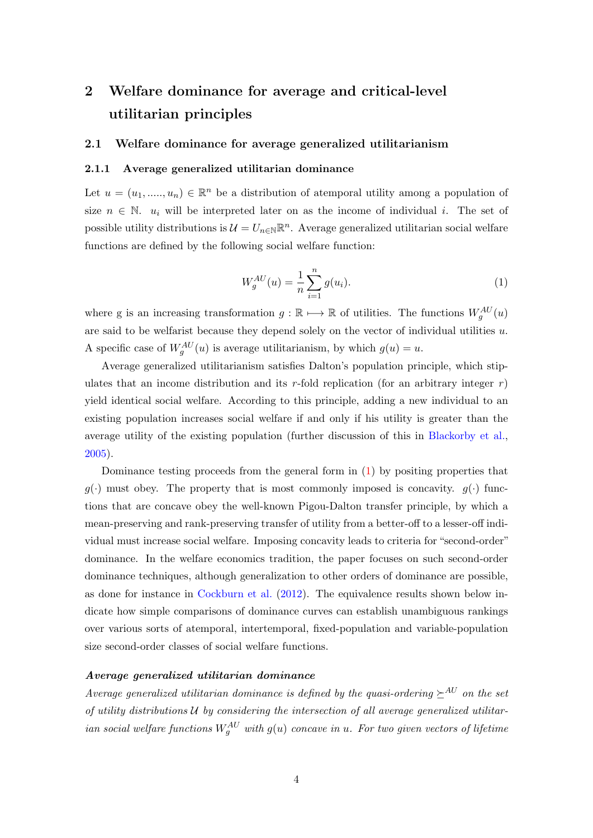# <span id="page-4-0"></span>2 Welfare dominance for average and critical-level utilitarian principles

## 2.1 Welfare dominance for average generalized utilitarianism

## 2.1.1 Average generalized utilitarian dominance

Let  $u = (u_1, \ldots, u_n) \in \mathbb{R}^n$  be a distribution of atemporal utility among a population of size  $n \in \mathbb{N}$ .  $u_i$  will be interpreted later on as the income of individual i. The set of possible utility distributions is  $\mathcal{U} = U_{n \in \mathbb{N}} \mathbb{R}^n$ . Average generalized utilitarian social welfare functions are defined by the following social welfare function:

$$
W_g^{AU}(u) = \frac{1}{n} \sum_{i=1}^n g(u_i).
$$
 (1)

<span id="page-4-1"></span>where g is an increasing transformation  $g : \mathbb{R} \mapsto \mathbb{R}$  of utilities. The functions  $W_g^{AU}(u)$ are said to be welfarist because they depend solely on the vector of individual utilities u. A specific case of  $W_g^{AU}(u)$  is average utilitarianism, by which  $g(u) = u$ .

Average generalized utilitarianism satisfies Dalton's population principle, which stipulates that an income distribution and its r-fold replication (for an arbitrary integer r) yield identical social welfare. According to this principle, adding a new individual to an existing population increases social welfare if and only if his utility is greater than the average utility of the existing population (further discussion of this in [Blackorby et al.,](#page-34-1) [2005\)](#page-34-1).

Dominance testing proceeds from the general form in [\(1\)](#page-4-1) by positing properties that  $q(\cdot)$  must obey. The property that is most commonly imposed is concavity.  $q(\cdot)$  functions that are concave obey the well-known Pigou-Dalton transfer principle, by which a mean-preserving and rank-preserving transfer of utility from a better-off to a lesser-off individual must increase social welfare. Imposing concavity leads to criteria for "second-order" dominance. In the welfare economics tradition, the paper focuses on such second-order dominance techniques, although generalization to other orders of dominance are possible, as done for instance in [Cockburn et al.](#page-35-4) [\(2012\)](#page-35-4). The equivalence results shown below indicate how simple comparisons of dominance curves can establish unambiguous rankings over various sorts of atemporal, intertemporal, fixed-population and variable-population size second-order classes of social welfare functions.

#### Average generalized utilitarian dominance

Average generalized utilitarian dominance is defined by the quasi-ordering  $\succeq^{AU}$  on the set of utility distributions  $U$  by considering the intersection of all average generalized utilitarian social welfare functions  $W_g^{AU}$  with  $g(u)$  concave in  $u$ . For two given vectors of lifetime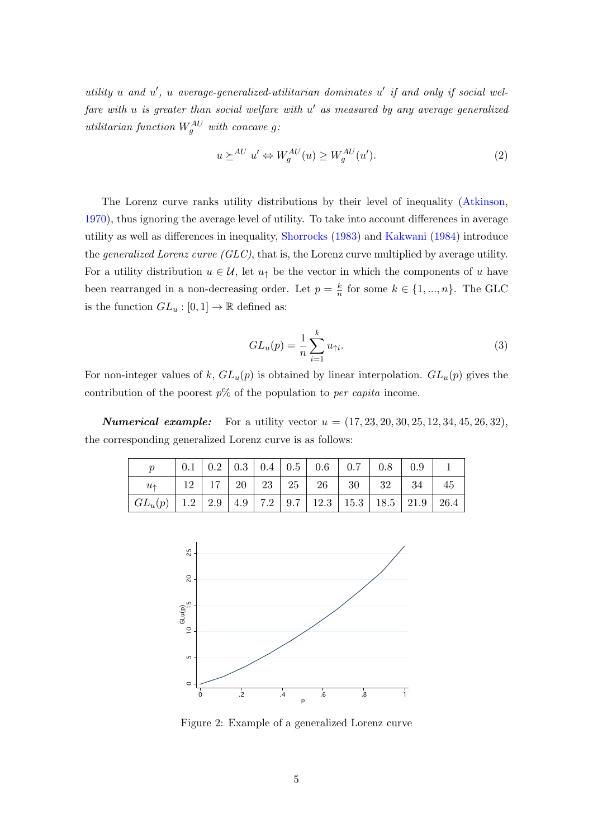utility  $u$  and  $u'$ ,  $u$  average-generalized-utilitarian dominates  $u'$  if and only if social welfare with u is greater than social welfare with  $u'$  as measured by any average generalized utilitarian function  $W_g^{AU}$  with concave g:

$$
u \succeq^{AU} u' \Leftrightarrow W_g^{AU}(u) \ge W_g^{AU}(u'). \tag{2}
$$

The Lorenz curve ranks utility distributions by their level of inequality [\(Atkinson,](#page-34-0) [1970\)](#page-34-0), thus ignoring the average level of utility. To take into account differences in average utility as well as differences in inequality, [Shorrocks](#page-36-1) [\(1983\)](#page-36-1) and [Kakwani](#page-35-1) [\(1984\)](#page-35-1) introduce the *generalized Lorenz curve* ( $GLC$ ), that is, the Lorenz curve multiplied by average utility. For a utility distribution  $u \in \mathcal{U}$ , let  $u_{\uparrow}$  be the vector in which the components of u have been rearranged in a non-decreasing order. Let  $p = \frac{k}{n}$  $\frac{k}{n}$  for some  $k \in \{1, ..., n\}$ . The GLC is the function  $GL_u: [0,1] \to \mathbb{R}$  defined as:

$$
GL_u(p) = \frac{1}{n} \sum_{i=1}^k u_{\uparrow i}.
$$
\n(3)

For non-integer values of k,  $GL_u(p)$  is obtained by linear interpolation.  $GL_u(p)$  gives the contribution of the poorest  $p\%$  of the population to *per capita* income.

**Numerical example:** For a utility vector  $u = (17, 23, 20, 30, 25, 12, 34, 45, 26, 32)$ , the corresponding generalized Lorenz curve is as follows:

|                                                                            |  |  |  | $0.1 \mid 0.2 \mid 0.3 \mid 0.4 \mid 0.5 \mid 0.6 \mid 0.7 \mid 0.8 \mid 0.9$ |  |    |
|----------------------------------------------------------------------------|--|--|--|-------------------------------------------------------------------------------|--|----|
| $u_{\uparrow}$                                                             |  |  |  | $12 \mid 17 \mid 20 \mid 23 \mid 25 \mid 26 \mid 30 \mid 32 \mid 34$          |  | 45 |
| $GL_u(p)$   1.2   2.9   4.9   7.2   9.7   12.3   15.3   18.5   21.9   26.4 |  |  |  |                                                                               |  |    |



Figure 2: Example of a generalized Lorenz curve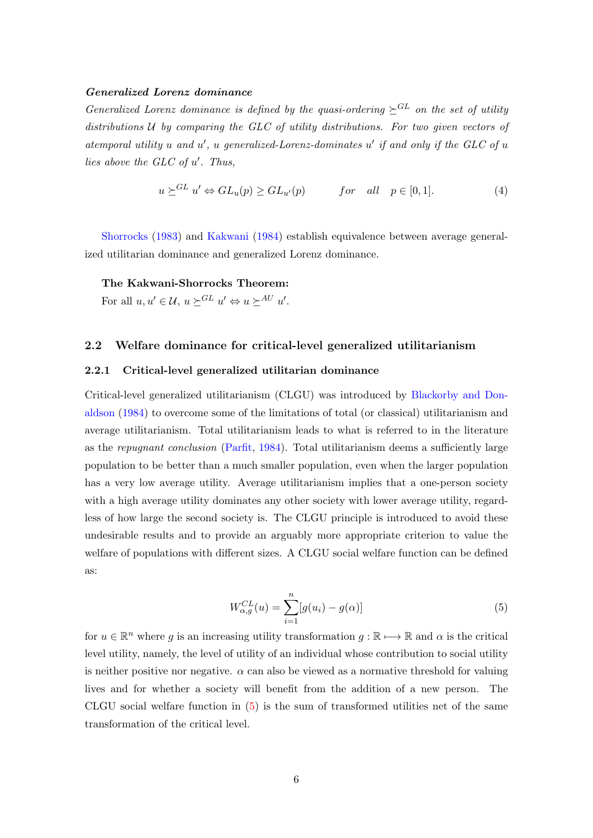#### Generalized Lorenz dominance

Generalized Lorenz dominance is defined by the quasi-ordering  $\succeq^{GL}$  on the set of utility distributions  $U$  by comparing the GLC of utility distributions. For two given vectors of atemporal utility  $u$  and  $u'$ ,  $u$  generalized-Lorenz-dominates  $u'$  if and only if the GLC of  $u$ lies above the  $GLC$  of  $u'$ . Thus,

$$
u \succeq^{GL} u' \Leftrightarrow GL_u(p) \ge GL_{u'}(p) \qquad \text{for all} \quad p \in [0,1]. \tag{4}
$$

[Shorrocks](#page-36-1) [\(1983\)](#page-36-1) and [Kakwani](#page-35-1) [\(1984\)](#page-35-1) establish equivalence between average generalized utilitarian dominance and generalized Lorenz dominance.

#### The Kakwani-Shorrocks Theorem:

For all  $u, u' \in \mathcal{U}$ ,  $u \succeq^{GL} u' \Leftrightarrow u \succeq^{AU} u'$ .

## 2.2 Welfare dominance for critical-level generalized utilitarianism

#### 2.2.1 Critical-level generalized utilitarian dominance

Critical-level generalized utilitarianism (CLGU) was introduced by [Blackorby and Don](#page-34-2)[aldson](#page-34-2) [\(1984\)](#page-34-2) to overcome some of the limitations of total (or classical) utilitarianism and average utilitarianism. Total utilitarianism leads to what is referred to in the literature as the repugnant conclusion [\(Parfit,](#page-36-3) [1984\)](#page-36-3). Total utilitarianism deems a sufficiently large population to be better than a much smaller population, even when the larger population has a very low average utility. Average utilitarianism implies that a one-person society with a high average utility dominates any other society with lower average utility, regardless of how large the second society is. The CLGU principle is introduced to avoid these undesirable results and to provide an arguably more appropriate criterion to value the welfare of populations with different sizes. A CLGU social welfare function can be defined as:

$$
W_{\alpha,g}^{CL}(u) = \sum_{i=1}^{n} [g(u_i) - g(\alpha)]
$$
\n(5)

<span id="page-6-0"></span>for  $u \in \mathbb{R}^n$  where g is an increasing utility transformation  $g : \mathbb{R} \longmapsto \mathbb{R}$  and  $\alpha$  is the critical level utility, namely, the level of utility of an individual whose contribution to social utility is neither positive nor negative.  $\alpha$  can also be viewed as a normative threshold for valuing lives and for whether a society will benefit from the addition of a new person. The CLGU social welfare function in  $(5)$  is the sum of transformed utilities net of the same transformation of the critical level.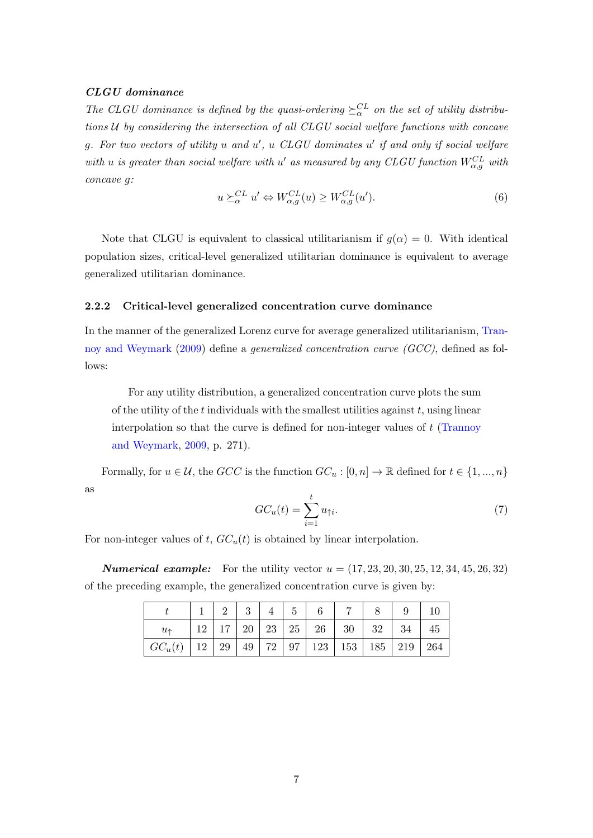## CLGU dominance

The CLGU dominance is defined by the quasi-ordering  $\geq_{\alpha}^{CL}$  on the set of utility distributions U by considering the intersection of all CLGU social welfare functions with concave g. For two vectors of utility  $u$  and  $u'$ ,  $u$  CLGU dominates  $u'$  if and only if social welfare with u is greater than social welfare with u' as measured by any CLGU function  $W_{\alpha,g}^{CL}$  with concave g:

$$
u \succeq_{\alpha}^{CL} u' \Leftrightarrow W_{\alpha,g}^{CL}(u) \ge W_{\alpha,g}^{CL}(u'). \tag{6}
$$

Note that CLGU is equivalent to classical utilitarianism if  $g(\alpha) = 0$ . With identical population sizes, critical-level generalized utilitarian dominance is equivalent to average generalized utilitarian dominance.

#### 2.2.2 Critical-level generalized concentration curve dominance

In the manner of the generalized Lorenz curve for average generalized utilitarianism, [Tran](#page-36-2)[noy and Weymark](#page-36-2) [\(2009\)](#page-36-2) define a generalized concentration curve (GCC), defined as follows:

For any utility distribution, a generalized concentration curve plots the sum of the utility of the  $t$  individuals with the smallest utilities against  $t$ , using linear interpolation so that the curve is defined for non-integer values of  $t$  [\(Trannoy](#page-36-2) [and Weymark,](#page-36-2) [2009,](#page-36-2) p. 271).

Formally, for  $u \in \mathcal{U}$ , the  $GCC$  is the function  $GC_u : [0, n] \to \mathbb{R}$  defined for  $t \in \{1, ..., n\}$ as

$$
GC_u(t) = \sum_{i=1}^t u_{\uparrow i}.\tag{7}
$$

For non-integer values of t,  $GC_u(t)$  is obtained by linear interpolation.

**Numerical example:** For the utility vector  $u = (17, 23, 20, 30, 25, 12, 34, 45, 26, 32)$ of the preceding example, the generalized concentration curve is given by:

|                                                                                           |  |  | $2 \mid 3 \mid 4 \mid 5 \mid 6$ |                                                                           |  |    |
|-------------------------------------------------------------------------------------------|--|--|---------------------------------|---------------------------------------------------------------------------|--|----|
| $u_{\uparrow}$                                                                            |  |  |                                 | $12 \mid 17 \mid 20 \mid 23 \mid 25 \mid 26 \mid 30 \mid 32 \mid 34 \mid$ |  | 45 |
| $\mid GC_u(t)\mid 12\mid 29\mid 49\mid 72\mid 97\mid 123\mid 153\mid 185\mid 219\mid 264$ |  |  |                                 |                                                                           |  |    |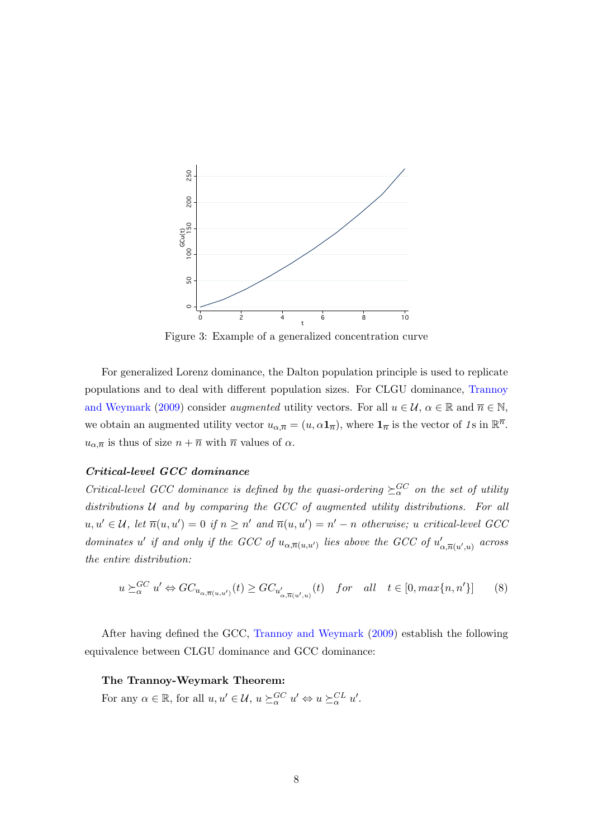

Figure 3: Example of a generalized concentration curve

For generalized Lorenz dominance, the Dalton population principle is used to replicate populations and to deal with different population sizes. For CLGU dominance, [Trannoy](#page-36-2) [and Weymark](#page-36-2) [\(2009\)](#page-36-2) consider *augmented* utility vectors. For all  $u \in \mathcal{U}$ ,  $\alpha \in \mathbb{R}$  and  $\overline{n} \in \mathbb{N}$ , we obtain an augmented utility vector  $u_{\alpha,\overline{n}} = (u, \alpha \mathbf{1}_{\overline{n}})$ , where  $\mathbf{1}_{\overline{n}}$  is the vector of 1s in  $\mathbb{R}^{\overline{n}}$ .  $u_{\alpha,\overline{n}}$  is thus of size  $n + \overline{n}$  with  $\overline{n}$  values of  $\alpha$ .

#### Critical-level GCC dominance

Critical-level GCC dominance is defined by the quasi-ordering  $\geq_{\alpha}^{GC}$  on the set of utility distributions  $U$  and by comparing the GCC of augmented utility distributions. For all  $u, u' \in \mathcal{U}$ , let  $\overline{n}(u, u') = 0$  if  $n \geq n'$  and  $\overline{n}(u, u') = n' - n$  otherwise; u critical-level GCC dominates u' if and only if the GCC of  $u_{\alpha,\overline{n}(u,u')}$  lies above the GCC of  $u'_{\alpha,\overline{n}(u',u)}$  across the entire distribution:

$$
u \succeq_{\alpha}^{GC} u' \Leftrightarrow GC_{u_{\alpha,\overline{n}(u,u')}}(t) \geq GC_{u'_{\alpha,\overline{n}(u',u)}}(t) \quad for \quad all \quad t \in [0, max\{n, n'\}]\tag{8}
$$

After having defined the GCC, [Trannoy and Weymark](#page-36-2) [\(2009\)](#page-36-2) establish the following equivalence between CLGU dominance and GCC dominance:

#### The Trannoy-Weymark Theorem:

For any  $\alpha \in \mathbb{R}$ , for all  $u, u' \in \mathcal{U}$ ,  $u \succeq_{\alpha}^{GC} u' \Leftrightarrow u \succeq_{\alpha}^{CL} u'$ .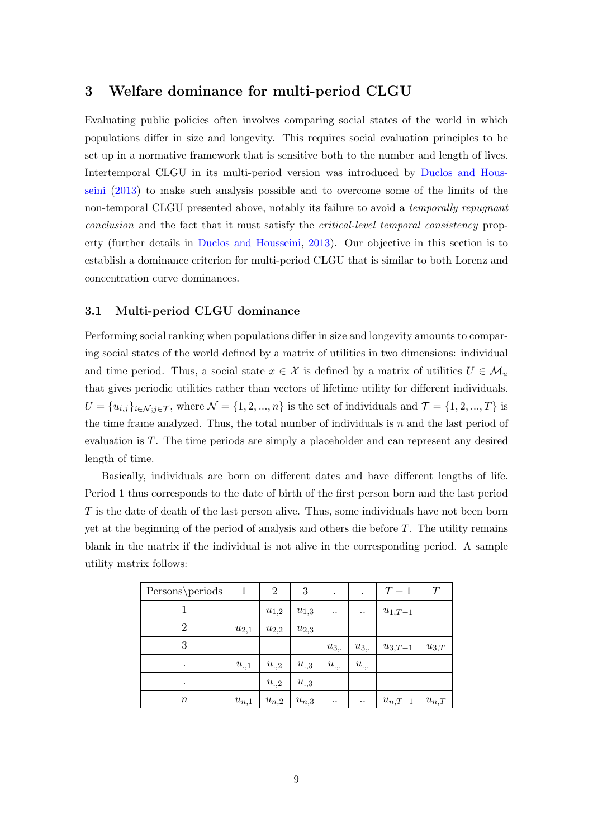# <span id="page-9-0"></span>3 Welfare dominance for multi-period CLGU

Evaluating public policies often involves comparing social states of the world in which populations differ in size and longevity. This requires social evaluation principles to be set up in a normative framework that is sensitive both to the number and length of lives. Intertemporal CLGU in its multi-period version was introduced by [Duclos and Hous](#page-35-3)[seini](#page-35-3) [\(2013\)](#page-35-3) to make such analysis possible and to overcome some of the limits of the non-temporal CLGU presented above, notably its failure to avoid a *temporally repugnant* conclusion and the fact that it must satisfy the critical-level temporal consistency property (further details in [Duclos and Housseini,](#page-35-3) [2013\)](#page-35-3). Our objective in this section is to establish a dominance criterion for multi-period CLGU that is similar to both Lorenz and concentration curve dominances.

# 3.1 Multi-period CLGU dominance

Performing social ranking when populations differ in size and longevity amounts to comparing social states of the world defined by a matrix of utilities in two dimensions: individual and time period. Thus, a social state  $x \in \mathcal{X}$  is defined by a matrix of utilities  $U \in \mathcal{M}_u$ that gives periodic utilities rather than vectors of lifetime utility for different individuals.  $U = \{u_{i,j}\}_{i \in \mathcal{N}; j \in \mathcal{T}}$ , where  $\mathcal{N} = \{1, 2, ..., n\}$  is the set of individuals and  $\mathcal{T} = \{1, 2, ..., T\}$  is the time frame analyzed. Thus, the total number of individuals is  $n$  and the last period of evaluation is T. The time periods are simply a placeholder and can represent any desired length of time.

Basically, individuals are born on different dates and have different lengths of life. Period 1 thus corresponds to the date of birth of the first person born and the last period T is the date of death of the last person alive. Thus, some individuals have not been born yet at the beginning of the period of analysis and others die before  $T$ . The utility remains blank in the matrix if the individual is not alive in the corresponding period. A sample utility matrix follows:

| Persons\periods | 1         | $\overline{2}$ | 3         | $\bullet$            | $\bullet$         | $T-1$       | T         |
|-----------------|-----------|----------------|-----------|----------------------|-------------------|-------------|-----------|
|                 |           | $u_{1,2}$      | $u_{1,3}$ | $\ddot{\phantom{0}}$ | $\cdot$ .         | $u_{1,T-1}$ |           |
| $\overline{2}$  | $u_{2,1}$ | $u_{2,2}$      | $u_{2,3}$ |                      |                   |             |           |
| 3               |           |                |           | $u_{3,.}$            | $u_{3,.}$         | $u_{3,T-1}$ | $u_{3,T}$ |
| $\bullet$       | $u_{.,1}$ | $u_{\cdot,2}$  | $u_{.,3}$ | $u_{\cdot,\cdot}$    | $u_{\cdot,\cdot}$ |             |           |
| $\bullet$       |           | $u_{.,2}$      | $u_{.,3}$ |                      |                   |             |           |
| $\it n$         | $u_{n,1}$ | $u_{n,2}$      | $u_{n,3}$ | $\ddot{\phantom{0}}$ | $\cdot$ .         | $u_{n,T-1}$ | $u_{n,T}$ |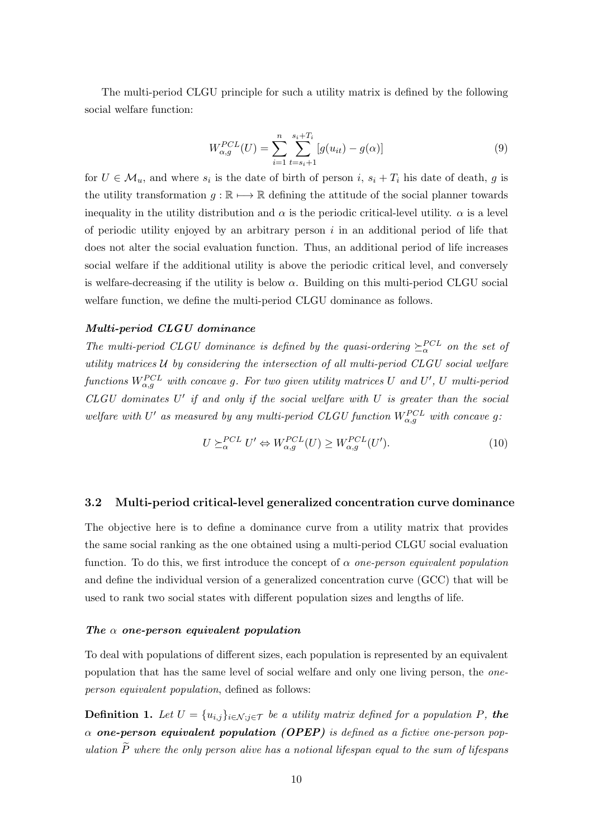The multi-period CLGU principle for such a utility matrix is defined by the following social welfare function:

$$
W_{\alpha,g}^{PCL}(U) = \sum_{i=1}^{n} \sum_{t=s_i+1}^{s_i+T_i} [g(u_{it}) - g(\alpha)]
$$
\n(9)

for  $U \in \mathcal{M}_u$ , and where  $s_i$  is the date of birth of person  $i, s_i + T_i$  his date of death, g is the utility transformation  $q : \mathbb{R} \mapsto \mathbb{R}$  defining the attitude of the social planner towards inequality in the utility distribution and  $\alpha$  is the periodic critical-level utility.  $\alpha$  is a level of periodic utility enjoyed by an arbitrary person  $i$  in an additional period of life that does not alter the social evaluation function. Thus, an additional period of life increases social welfare if the additional utility is above the periodic critical level, and conversely is welfare-decreasing if the utility is below  $\alpha$ . Building on this multi-period CLGU social welfare function, we define the multi-period CLGU dominance as follows.

#### Multi-period CLGU dominance

The multi-period CLGU dominance is defined by the quasi-ordering  $\geq_{\alpha}^{PCL}$  on the set of utility matrices  $U$  by considering the intersection of all multi-period  $CLGU$  social welfare functions  $W^{PCL}_{\alpha,g}$  with concave g. For two given utility matrices U and U', U multi-period  $CLGU$  dominates  $U'$  if and only if the social welfare with  $U$  is greater than the social welfare with U' as measured by any multi-period CLGU function  $W_{\alpha,g}^{PCL}$  with concave g:

$$
U \succeq_{\alpha}^{PCL} U' \Leftrightarrow W_{\alpha,g}^{PCL}(U) \ge W_{\alpha,g}^{PCL}(U'). \tag{10}
$$

## 3.2 Multi-period critical-level generalized concentration curve dominance

The objective here is to define a dominance curve from a utility matrix that provides the same social ranking as the one obtained using a multi-period CLGU social evaluation function. To do this, we first introduce the concept of  $\alpha$  one-person equivalent population and define the individual version of a generalized concentration curve (GCC) that will be used to rank two social states with different population sizes and lengths of life.

#### The  $\alpha$  one-person equivalent population

To deal with populations of different sizes, each population is represented by an equivalent population that has the same level of social welfare and only one living person, the oneperson equivalent population, defined as follows:

**Definition 1.** Let  $U = \{u_{i,j}\}_{i \in \mathcal{N}: j \in \mathcal{T}}\}$  be a utility matrix defined for a population P, the  $\alpha$  one-person equivalent population (OPEP) is defined as a fictive one-person population  $\widetilde{P}$  where the only person alive has a notional lifespan equal to the sum of lifespans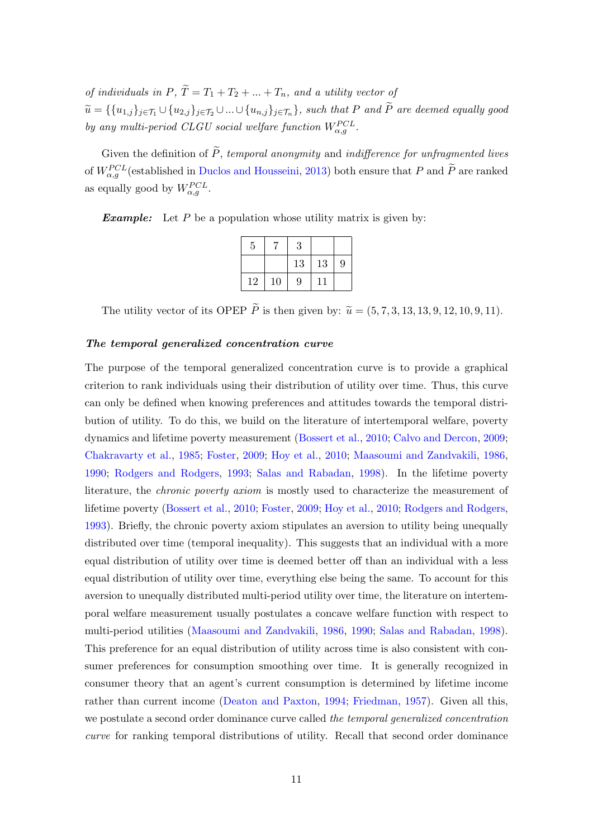of individuals in  $P, \tilde{T} = T_1 + T_2 + ... + T_n$ , and a utility vector of  $\widetilde{u} = \{\{u_{1,j}\}_{j\in\mathcal{T}_1}\cup\{u_{2,j}\}_{j\in\mathcal{T}_2}\cup...\cup\{u_{n,j}\}_{j\in\mathcal{T}_n}\}$ , such that P and  $\widetilde{P}$  are deemed equally good by any multi-period CLGU social welfare function  $W_{\alpha,g}^{PCL}$ .

Given the definition of  $\widetilde{P}$ , temporal anonymity and indifference for unfragmented lives of  $W_{\alpha,g}^{PCL}$  (established in [Duclos and Housseini,](#page-35-3) [2013\)](#page-35-3) both ensure that P and  $\tilde{P}$  are ranked as equally good by  $W_{\alpha,g}^{PCL}$ .

**Example:** Let P be a population whose utility matrix is given by:

| 5  | 7  | 3  |    |   |
|----|----|----|----|---|
|    |    | 13 | 13 | 9 |
| 12 | 10 | 9  | 11 |   |

The utility vector of its OPEP  $\widetilde{P}$  is then given by:  $\widetilde{u} = (5, 7, 3, 13, 13, 9, 12, 10, 9, 11)$ .

#### The temporal generalized concentration curve

The purpose of the temporal generalized concentration curve is to provide a graphical criterion to rank individuals using their distribution of utility over time. Thus, this curve can only be defined when knowing preferences and attitudes towards the temporal distribution of utility. To do this, we build on the literature of intertemporal welfare, poverty dynamics and lifetime poverty measurement [\(Bossert et al.,](#page-34-3) [2010;](#page-34-3) [Calvo and Dercon,](#page-34-4) [2009;](#page-34-4) [Chakravarty et al.,](#page-35-5) [1985;](#page-35-5) [Foster,](#page-35-6) [2009;](#page-35-6) [Hoy et al.,](#page-35-7) [2010;](#page-35-7) [Maasoumi and Zandvakili,](#page-35-8) [1986,](#page-35-8) [1990;](#page-36-4) [Rodgers and Rodgers,](#page-36-5) [1993;](#page-36-5) [Salas and Rabadan,](#page-36-6) [1998\)](#page-36-6). In the lifetime poverty literature, the *chronic poverty axiom* is mostly used to characterize the measurement of lifetime poverty [\(Bossert et al.,](#page-34-3) [2010;](#page-34-3) [Foster,](#page-35-6) [2009;](#page-35-6) [Hoy et al.,](#page-35-7) [2010;](#page-35-7) [Rodgers and Rodgers,](#page-36-5) [1993\)](#page-36-5). Briefly, the chronic poverty axiom stipulates an aversion to utility being unequally distributed over time (temporal inequality). This suggests that an individual with a more equal distribution of utility over time is deemed better off than an individual with a less equal distribution of utility over time, everything else being the same. To account for this aversion to unequally distributed multi-period utility over time, the literature on intertemporal welfare measurement usually postulates a concave welfare function with respect to multi-period utilities [\(Maasoumi and Zandvakili,](#page-35-8) [1986,](#page-35-8) [1990;](#page-36-4) [Salas and Rabadan,](#page-36-6) [1998\)](#page-36-6). This preference for an equal distribution of utility across time is also consistent with consumer preferences for consumption smoothing over time. It is generally recognized in consumer theory that an agent's current consumption is determined by lifetime income rather than current income [\(Deaton and Paxton,](#page-35-9) [1994;](#page-35-9) [Friedman,](#page-35-10) [1957\)](#page-35-10). Given all this, we postulate a second order dominance curve called the temporal generalized concentration curve for ranking temporal distributions of utility. Recall that second order dominance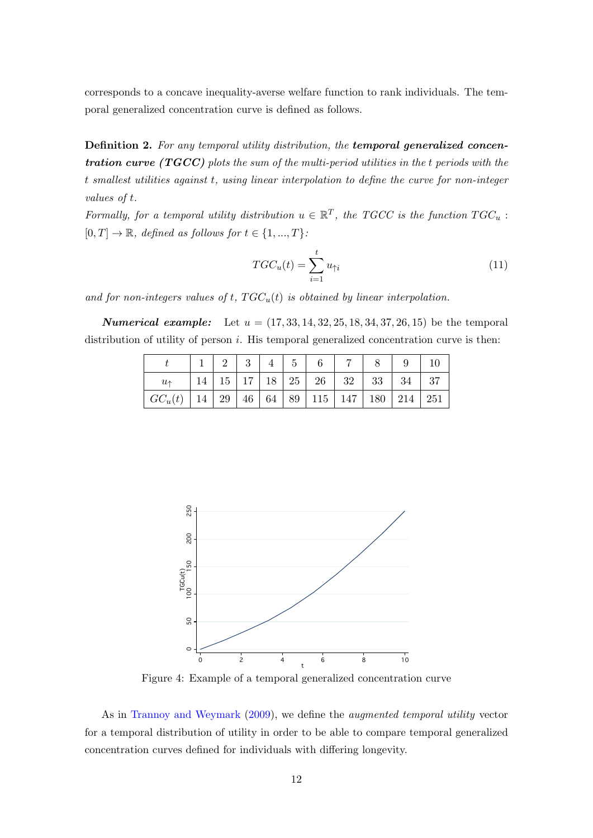corresponds to a concave inequality-averse welfare function to rank individuals. The temporal generalized concentration curve is defined as follows.

Definition 2. For any temporal utility distribution, the temporal generalized concentration curve ( $TGCC$ ) plots the sum of the multi-period utilities in the t periods with the t smallest utilities against t, using linear interpolation to define the curve for non-integer values of t.

Formally, for a temporal utility distribution  $u \in \mathbb{R}^T$ , the TGCC is the function  $TGC_u$ :  $[0, T] \rightarrow \mathbb{R}$ , defined as follows for  $t \in \{1, ..., T\}$ :

$$
TGC_u(t) = \sum_{i=1}^t u_{\uparrow i}
$$
\n(11)

and for non-integers values of t,  $TGC_u(t)$  is obtained by linear interpolation.

**Numerical example:** Let  $u = (17, 33, 14, 32, 25, 18, 34, 37, 26, 15)$  be the temporal distribution of utility of person  $i$ . His temporal generalized concentration curve is then:

|                                                                                                     | $2 \mid 3$ | 4 <sup>1</sup> | 5 |                                                                              |  |  |
|-----------------------------------------------------------------------------------------------------|------------|----------------|---|------------------------------------------------------------------------------|--|--|
| $u_{\uparrow}$                                                                                      |            |                |   | $14 \mid 15 \mid 17 \mid 18 \mid 25 \mid 26 \mid 32 \mid 33 \mid 34 \mid 37$ |  |  |
| $\mid GC_u(t) \mid 14 \mid 29 \mid 46 \mid 64 \mid 89 \mid 115 \mid 147 \mid 180 \mid 214 \mid 251$ |            |                |   |                                                                              |  |  |



Figure 4: Example of a temporal generalized concentration curve

As in [Trannoy and Weymark](#page-36-2) [\(2009\)](#page-36-2), we define the augmented temporal utility vector for a temporal distribution of utility in order to be able to compare temporal generalized concentration curves defined for individuals with differing longevity.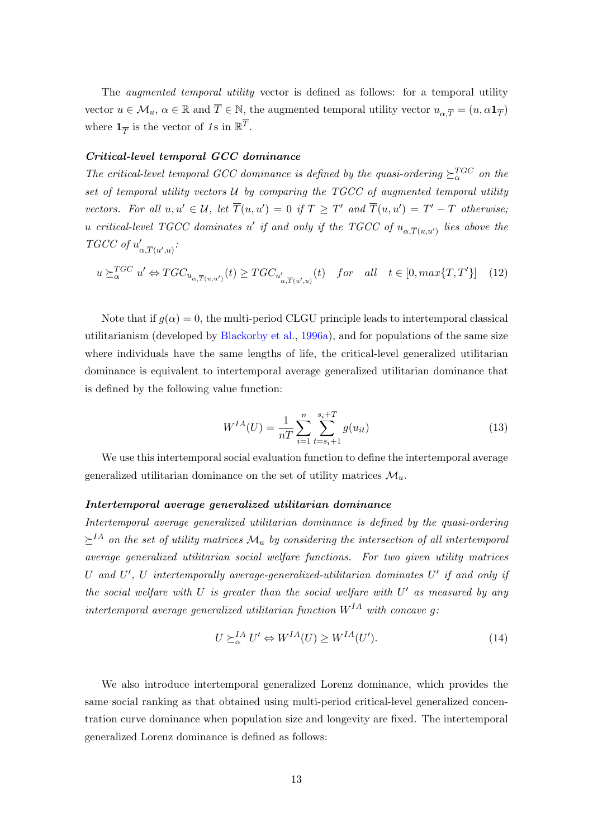The *augmented temporal utility* vector is defined as follows: for a temporal utility vector  $u \in \mathcal{M}_u$ ,  $\alpha \in \mathbb{R}$  and  $\overline{T} \in \mathbb{N}$ , the augmented temporal utility vector  $u_{\alpha, \overline{T}} = (u, \alpha \mathbf{1}_{\overline{T}})$ where  $\mathbf{1}_{\overline{T}}$  is the vector of 1s in  $\mathbb{R}^{\overline{T}}$ .

# Critical-level temporal GCC dominance

The critical-level temporal GCC dominance is defined by the quasi-ordering  $\geq_{\alpha}^{TGC}$  on the set of temporal utility vectors  $U$  by comparing the TGCC of augmented temporal utility vectors. For all  $u, u' \in \mathcal{U}$ , let  $\overline{T}(u, u') = 0$  if  $T \geq T'$  and  $\overline{T}(u, u') = T' - T$  otherwise; u critical-level TGCC dominates u' if and only if the TGCC of  $u_{\alpha,\overline{T}(u,u')}$  lies above the  $TGCC$  of  $u'$  $_{\alpha, \overline{T}(u',u)}'$ :

<span id="page-13-0"></span>
$$
u \succeq_{\alpha}^{TGC} u' \Leftrightarrow TGC_{u_{\alpha, \overline{T}(u, u')}}(t) \ge TGC_{u'_{\alpha, \overline{T}(u', u)}}(t) \quad \text{for} \quad all \quad t \in [0, \max\{T, T'\}] \tag{12}
$$

Note that if  $g(\alpha) = 0$ , the multi-period CLGU principle leads to intertemporal classical utilitarianism (developed by [Blackorby et al.,](#page-34-5) [1996a\)](#page-34-5), and for populations of the same size where individuals have the same lengths of life, the critical-level generalized utilitarian dominance is equivalent to intertemporal average generalized utilitarian dominance that is defined by the following value function:

$$
W^{IA}(U) = \frac{1}{nT} \sum_{i=1}^{n} \sum_{t=s_i+1}^{s_i+T} g(u_{it})
$$
\n(13)

We use this intertemporal social evaluation function to define the intertemporal average generalized utilitarian dominance on the set of utility matrices  $\mathcal{M}_{u}$ .

## Intertemporal average generalized utilitarian dominance

Intertemporal average generalized utilitarian dominance is defined by the quasi-ordering  $\succeq^{IA}$  on the set of utility matrices  $\mathcal{M}_u$  by considering the intersection of all intertemporal average generalized utilitarian social welfare functions. For two given utility matrices U and  $U'$ , U intertemporally average-generalized-utilitarian dominates  $U'$  if and only if the social welfare with  $U$  is greater than the social welfare with  $U'$  as measured by any intertemporal average generalized utilitarian function  $W^{IA}$  with concave q:

$$
U \succeq_{\alpha}^{IA} U' \Leftrightarrow W^{IA}(U) \ge W^{IA}(U'). \tag{14}
$$

We also introduce intertemporal generalized Lorenz dominance, which provides the same social ranking as that obtained using multi-period critical-level generalized concentration curve dominance when population size and longevity are fixed. The intertemporal generalized Lorenz dominance is defined as follows: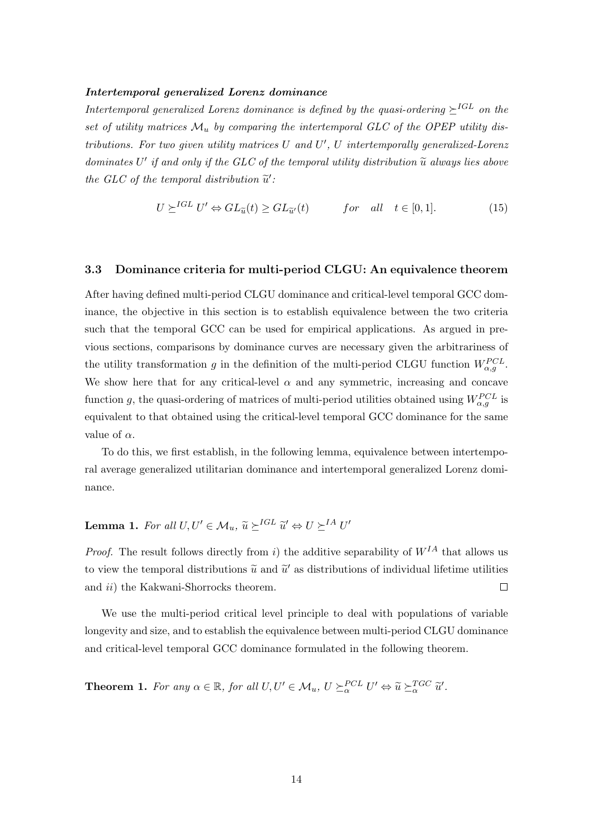#### Intertemporal generalized Lorenz dominance

Intertemporal generalized Lorenz dominance is defined by the quasi-ordering  $\succeq^{IGL}$  on the set of utility matrices  $\mathcal{M}_u$  by comparing the intertemporal GLC of the OPEP utility distributions. For two given utility matrices  $U$  and  $U'$ ,  $U$  intertemporally generalized-Lorenz dominates  $U'$  if and only if the GLC of the temporal utility distribution  $\tilde{u}$  always lies above  $\tilde{u}$ the GLC of the temporal distribution  $\tilde{u}'$ :

$$
U \succeq^{IGL} U' \Leftrightarrow GL_{\widetilde{u}}(t) \ge GL_{\widetilde{u}'}(t) \qquad \text{for} \quad all \quad t \in [0,1]. \tag{15}
$$

#### 3.3 Dominance criteria for multi-period CLGU: An equivalence theorem

After having defined multi-period CLGU dominance and critical-level temporal GCC dominance, the objective in this section is to establish equivalence between the two criteria such that the temporal GCC can be used for empirical applications. As argued in previous sections, comparisons by dominance curves are necessary given the arbitrariness of the utility transformation g in the definition of the multi-period CLGU function  $W_{\alpha,g}^{PCL}$ . We show here that for any critical-level  $\alpha$  and any symmetric, increasing and concave function g, the quasi-ordering of matrices of multi-period utilities obtained using  $W_{\alpha,g}^{PCL}$  is equivalent to that obtained using the critical-level temporal GCC dominance for the same value of  $\alpha$ .

To do this, we first establish, in the following lemma, equivalence between intertemporal average generalized utilitarian dominance and intertemporal generalized Lorenz dominance.

# **Lemma 1.** For all  $U, U' \in \mathcal{M}_u$ ,  $\widetilde{u} \succeq^{IGL} \widetilde{u}' \Leftrightarrow U \succeq^{IA} U'$

*Proof.* The result follows directly from i) the additive separability of  $W^{IA}$  that allows us to view the temporal distributions  $\tilde{u}$  and  $\tilde{u}'$  as distributions of individual lifetime utilities and *ii*) the Kakwani-Shorrocks theorem.  $\Box$ 

We use the multi-period critical level principle to deal with populations of variable longevity and size, and to establish the equivalence between multi-period CLGU dominance and critical-level temporal GCC dominance formulated in the following theorem.

<span id="page-14-0"></span>**Theorem 1.** For any  $\alpha \in \mathbb{R}$ , for all  $U, U' \in \mathcal{M}_u$ ,  $U \succeq_{\alpha}^{PCL} U' \Leftrightarrow \tilde{u} \succeq_{\alpha}^{TGC} \tilde{u}'$ .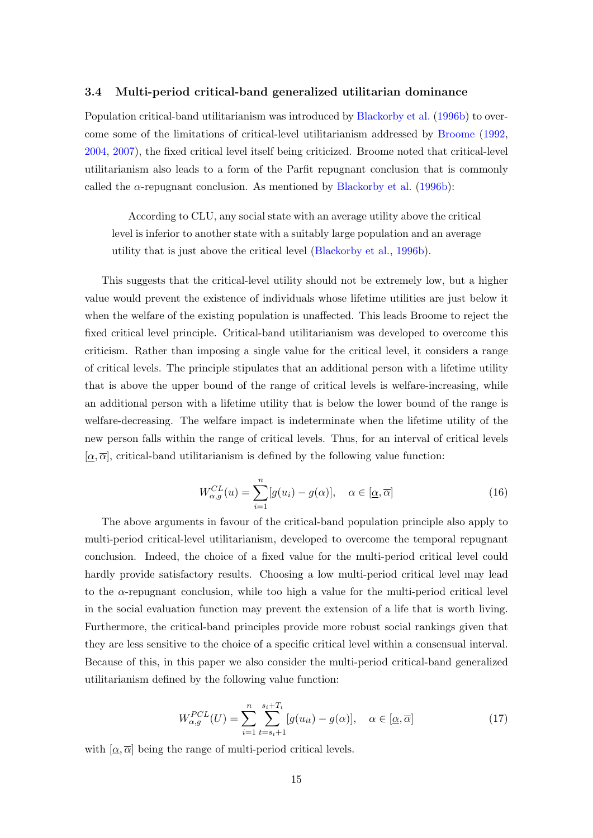### 3.4 Multi-period critical-band generalized utilitarian dominance

Population critical-band utilitarianism was introduced by [Blackorby et al.](#page-34-6) [\(1996b\)](#page-34-6) to overcome some of the limitations of critical-level utilitarianism addressed by [Broome](#page-34-7) [\(1992,](#page-34-7) [2004,](#page-34-8) [2007\)](#page-34-9), the fixed critical level itself being criticized. Broome noted that critical-level utilitarianism also leads to a form of the Parfit repugnant conclusion that is commonly called the  $\alpha$ -repugnant conclusion. As mentioned by [Blackorby et al.](#page-34-6) [\(1996b\)](#page-34-6):

According to CLU, any social state with an average utility above the critical level is inferior to another state with a suitably large population and an average utility that is just above the critical level [\(Blackorby et al.,](#page-34-6) [1996b\)](#page-34-6).

This suggests that the critical-level utility should not be extremely low, but a higher value would prevent the existence of individuals whose lifetime utilities are just below it when the welfare of the existing population is unaffected. This leads Broome to reject the fixed critical level principle. Critical-band utilitarianism was developed to overcome this criticism. Rather than imposing a single value for the critical level, it considers a range of critical levels. The principle stipulates that an additional person with a lifetime utility that is above the upper bound of the range of critical levels is welfare-increasing, while an additional person with a lifetime utility that is below the lower bound of the range is welfare-decreasing. The welfare impact is indeterminate when the lifetime utility of the new person falls within the range of critical levels. Thus, for an interval of critical levels  $[\alpha, \overline{\alpha}]$ , critical-band utilitarianism is defined by the following value function:

$$
W_{\alpha,g}^{CL}(u) = \sum_{i=1}^{n} [g(u_i) - g(\alpha)], \quad \alpha \in [\underline{\alpha}, \overline{\alpha}]
$$
 (16)

The above arguments in favour of the critical-band population principle also apply to multi-period critical-level utilitarianism, developed to overcome the temporal repugnant conclusion. Indeed, the choice of a fixed value for the multi-period critical level could hardly provide satisfactory results. Choosing a low multi-period critical level may lead to the  $\alpha$ -repugnant conclusion, while too high a value for the multi-period critical level in the social evaluation function may prevent the extension of a life that is worth living. Furthermore, the critical-band principles provide more robust social rankings given that they are less sensitive to the choice of a specific critical level within a consensual interval. Because of this, in this paper we also consider the multi-period critical-band generalized utilitarianism defined by the following value function:

$$
W_{\alpha,g}^{PCL}(U) = \sum_{i=1}^{n} \sum_{t=s_i+1}^{s_i+T_i} [g(u_{it}) - g(\alpha)], \quad \alpha \in [\underline{\alpha}, \overline{\alpha}]
$$
 (17)

with  $[\alpha, \overline{\alpha}]$  being the range of multi-period critical levels.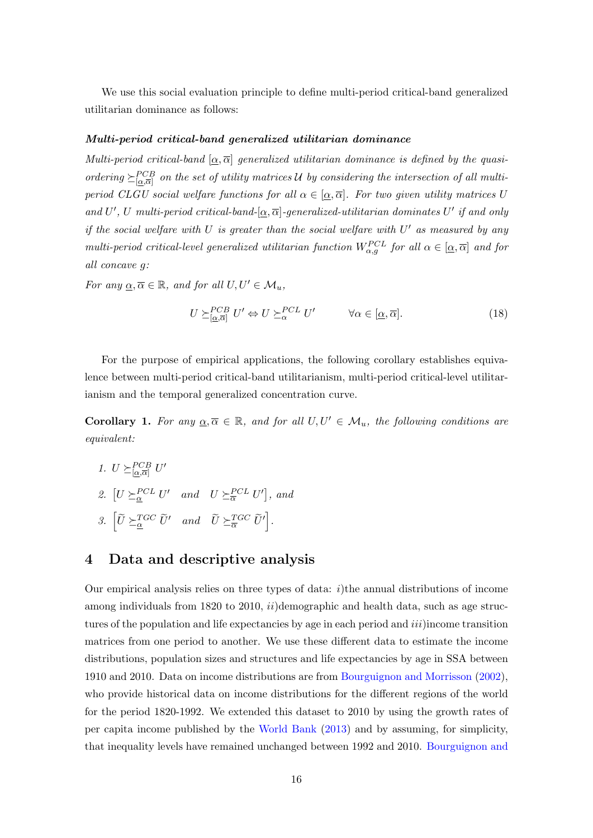We use this social evaluation principle to define multi-period critical-band generalized utilitarian dominance as follows:

#### Multi-period critical-band generalized utilitarian dominance

Multi-period critical-band  $[\alpha, \overline{\alpha}]$  generalized utilitarian dominance is defined by the quasiordering  $\geq_{\lbrack \alpha,\overline{\alpha}\rbrack}^{CCB}$  on the set of utility matrices U by considering the intersection of all multiperiod CLGU social welfare functions for all  $\alpha \in [\alpha, \overline{\alpha}]$ . For two given utility matrices U and U', U multi-period critical-band- $[\underline{\alpha}, \overline{\alpha}]$ -generalized-utilitarian dominates U' if and only if the social welfare with U is greater than the social welfare with  $U'$  as measured by any multi-period critical-level generalized utilitarian function  $W_{\alpha,g}^{PCL}$  for all  $\alpha \in [\alpha, \overline{\alpha}]$  and for all concave g:

For any  $\underline{\alpha}, \overline{\alpha} \in \mathbb{R}$ , and for all  $U, U' \in \mathcal{M}_u$ ,

$$
U \succeq_{[\underline{\alpha}, \overline{\alpha}]}^{PCB} U' \Leftrightarrow U \succeq_{\alpha}^{PCL} U' \qquad \forall \alpha \in [\underline{\alpha}, \overline{\alpha}]. \tag{18}
$$

For the purpose of empirical applications, the following corollary establishes equivalence between multi-period critical-band utilitarianism, multi-period critical-level utilitarianism and the temporal generalized concentration curve.

**Corollary 1.** For any  $\underline{\alpha}, \overline{\alpha} \in \mathbb{R}$ , and for all  $U, U' \in \mathcal{M}_u$ , the following conditions are equivalent:

<span id="page-16-3"></span><span id="page-16-2"></span><span id="page-16-1"></span>1.  $U \succeq_{\lbrack \underline{\alpha}, \overline{\alpha} \rbrack}^{PCB} U'$ 2.  $[U \succeq_{\alpha}^{PCL} U'$  and  $U \succeq_{\overline{\alpha}}^{PCL} U'$ , and 3.  $\left[ \widetilde{U} \succeq_{\underline{\alpha}}^{TGC} \widetilde{U}' \quad and \quad \widetilde{U} \succeq_{\overline{\alpha}}^{TGC} \widetilde{U}' \right]$ .

# <span id="page-16-0"></span>4 Data and descriptive analysis

Our empirical analysis relies on three types of data:  $i$ )the annual distributions of income among individuals from 1820 to 2010,  $ii)$ demographic and health data, such as age structures of the population and life expectancies by age in each period and  $iii$ ) income transition matrices from one period to another. We use these different data to estimate the income distributions, population sizes and structures and life expectancies by age in SSA between 1910 and 2010. Data on income distributions are from [Bourguignon and Morrisson](#page-34-10) [\(2002\)](#page-34-10), who provide historical data on income distributions for the different regions of the world for the period 1820-1992. We extended this dataset to 2010 by using the growth rates of per capita income published by the [World Bank](#page-36-7) [\(2013\)](#page-36-7) and by assuming, for simplicity, that inequality levels have remained unchanged between 1992 and 2010. [Bourguignon and](#page-34-10)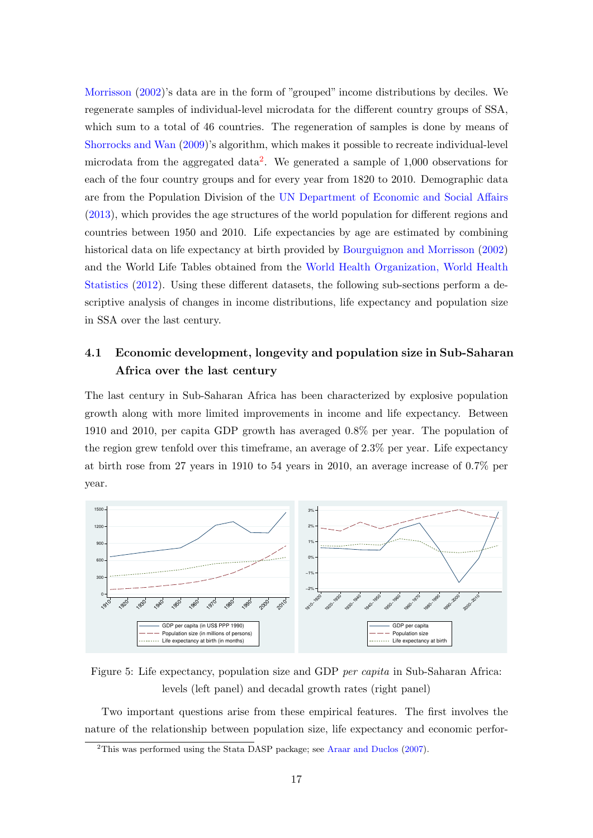[Morrisson](#page-34-10) [\(2002\)](#page-34-10)'s data are in the form of "grouped" income distributions by deciles. We regenerate samples of individual-level microdata for the different country groups of SSA, which sum to a total of 46 countries. The regeneration of samples is done by means of [Shorrocks and Wan](#page-36-8) [\(2009\)](#page-36-8)'s algorithm, which makes it possible to recreate individual-level microdata from the aggregated data<sup>[2](#page-17-0)</sup>. We generated a sample of  $1,000$  observations for each of the four country groups and for every year from 1820 to 2010. Demographic data are from the Population Division of the [UN Department of Economic and Social Affairs](#page-36-9) [\(2013\)](#page-36-9), which provides the age structures of the world population for different regions and countries between 1950 and 2010. Life expectancies by age are estimated by combining historical data on life expectancy at birth provided by [Bourguignon and Morrisson](#page-34-10) [\(2002\)](#page-34-10) and the World Life Tables obtained from the [World Health Organization, World Health](#page-36-10) [Statistics](#page-36-10) [\(2012\)](#page-36-10). Using these different datasets, the following sub-sections perform a descriptive analysis of changes in income distributions, life expectancy and population size in SSA over the last century.

# 4.1 Economic development, longevity and population size in Sub-Saharan Africa over the last century

The last century in Sub-Saharan Africa has been characterized by explosive population growth along with more limited improvements in income and life expectancy. Between 1910 and 2010, per capita GDP growth has averaged 0.8% per year. The population of the region grew tenfold over this timeframe, an average of 2.3% per year. Life expectancy at birth rose from 27 years in 1910 to 54 years in 2010, an average increase of 0.7% per year.



Figure 5: Life expectancy, population size and GDP per capita in Sub-Saharan Africa: levels (left panel) and decadal growth rates (right panel)

Two important questions arise from these empirical features. The first involves the nature of the relationship between population size, life expectancy and economic perfor-

<span id="page-17-0"></span><sup>&</sup>lt;sup>2</sup>This was performed using the Stata DASP package; see [Araar and Duclos](#page-34-11)  $(2007)$ .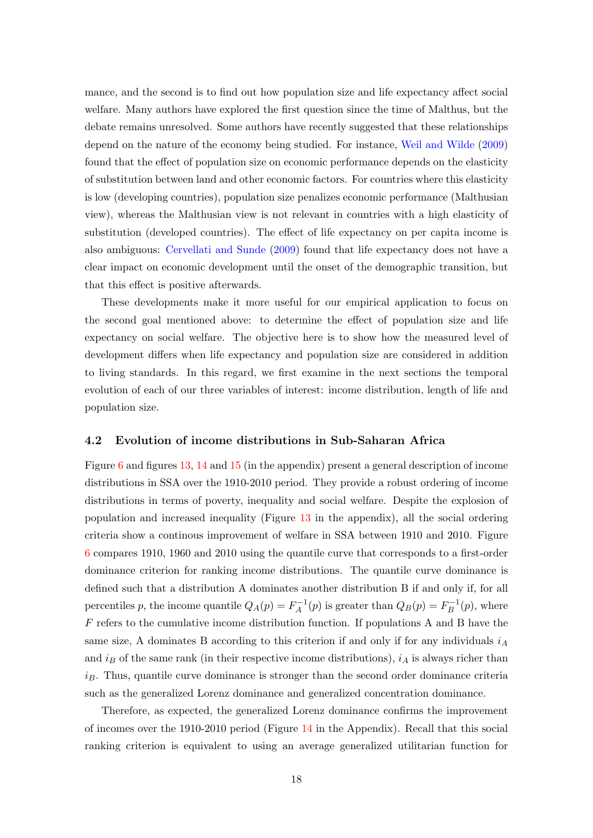mance, and the second is to find out how population size and life expectancy affect social welfare. Many authors have explored the first question since the time of Malthus, but the debate remains unresolved. Some authors have recently suggested that these relationships depend on the nature of the economy being studied. For instance, [Weil and Wilde](#page-36-11) [\(2009\)](#page-36-11) found that the effect of population size on economic performance depends on the elasticity of substitution between land and other economic factors. For countries where this elasticity is low (developing countries), population size penalizes economic performance (Malthusian view), whereas the Malthusian view is not relevant in countries with a high elasticity of substitution (developed countries). The effect of life expectancy on per capita income is also ambiguous: [Cervellati and Sunde](#page-34-12) [\(2009\)](#page-34-12) found that life expectancy does not have a clear impact on economic development until the onset of the demographic transition, but that this effect is positive afterwards.

These developments make it more useful for our empirical application to focus on the second goal mentioned above: to determine the effect of population size and life expectancy on social welfare. The objective here is to show how the measured level of development differs when life expectancy and population size are considered in addition to living standards. In this regard, we first examine in the next sections the temporal evolution of each of our three variables of interest: income distribution, length of life and population size.

## 4.2 Evolution of income distributions in Sub-Saharan Africa

Figure [6](#page-19-0) and figures [13,](#page-31-0) [14](#page-31-1) and [15](#page-31-2) (in the appendix) present a general description of income distributions in SSA over the 1910-2010 period. They provide a robust ordering of income distributions in terms of poverty, inequality and social welfare. Despite the explosion of population and increased inequality (Figure [13](#page-31-0) in the appendix), all the social ordering criteria show a continous improvement of welfare in SSA between 1910 and 2010. Figure [6](#page-19-0) compares 1910, 1960 and 2010 using the quantile curve that corresponds to a first-order dominance criterion for ranking income distributions. The quantile curve dominance is defined such that a distribution A dominates another distribution B if and only if, for all percentiles p, the income quantile  $Q_A(p) = F_A^{-1}$  $Q_B^{-1}(p)$  is greater than  $Q_B(p) = F_B^{-1}$  $\overline{B}^{-1}(p)$ , where  $F$  refers to the cumulative income distribution function. If populations A and B have the same size, A dominates B according to this criterion if and only if for any individuals  $i_A$ and  $i_B$  of the same rank (in their respective income distributions),  $i_A$  is always richer than  $i_B$ . Thus, quantile curve dominance is stronger than the second order dominance criteria such as the generalized Lorenz dominance and generalized concentration dominance.

Therefore, as expected, the generalized Lorenz dominance confirms the improvement of incomes over the 1910-2010 period (Figure [14](#page-31-1) in the Appendix). Recall that this social ranking criterion is equivalent to using an average generalized utilitarian function for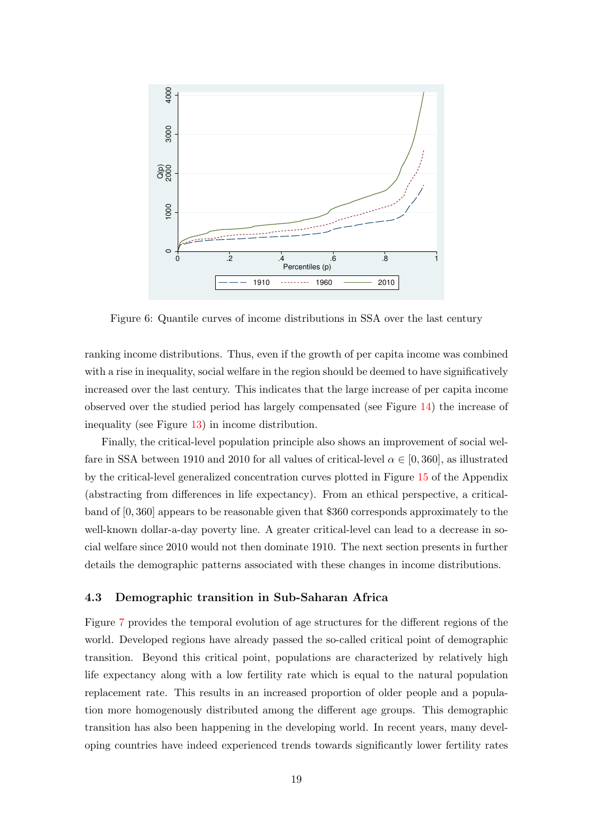<span id="page-19-0"></span>

Figure 6: Quantile curves of income distributions in SSA over the last century

ranking income distributions. Thus, even if the growth of per capita income was combined with a rise in inequality, social welfare in the region should be deemed to have significatively increased over the last century. This indicates that the large increase of per capita income observed over the studied period has largely compensated (see Figure [14\)](#page-31-1) the increase of inequality (see Figure [13\)](#page-31-0) in income distribution.

Finally, the critical-level population principle also shows an improvement of social welfare in SSA between 1910 and 2010 for all values of critical-level  $\alpha \in [0, 360]$ , as illustrated by the critical-level generalized concentration curves plotted in Figure [15](#page-31-2) of the Appendix (abstracting from differences in life expectancy). From an ethical perspective, a criticalband of [0, 360] appears to be reasonable given that \$360 corresponds approximately to the well-known dollar-a-day poverty line. A greater critical-level can lead to a decrease in social welfare since 2010 would not then dominate 1910. The next section presents in further details the demographic patterns associated with these changes in income distributions.

#### 4.3 Demographic transition in Sub-Saharan Africa

Figure [7](#page-20-0) provides the temporal evolution of age structures for the different regions of the world. Developed regions have already passed the so-called critical point of demographic transition. Beyond this critical point, populations are characterized by relatively high life expectancy along with a low fertility rate which is equal to the natural population replacement rate. This results in an increased proportion of older people and a population more homogenously distributed among the different age groups. This demographic transition has also been happening in the developing world. In recent years, many developing countries have indeed experienced trends towards significantly lower fertility rates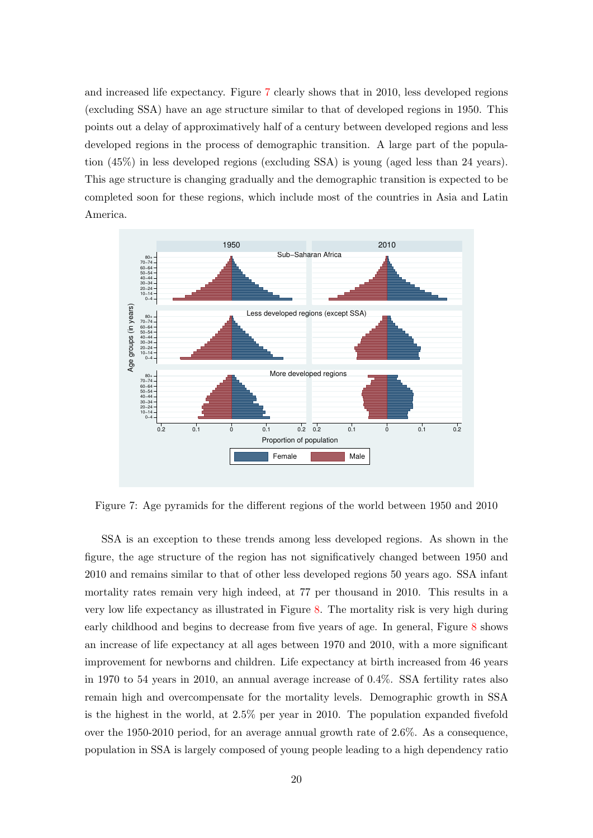and increased life expectancy. Figure [7](#page-20-0) clearly shows that in 2010, less developed regions (excluding SSA) have an age structure similar to that of developed regions in 1950. This points out a delay of approximatively half of a century between developed regions and less developed regions in the process of demographic transition. A large part of the population (45%) in less developed regions (excluding SSA) is young (aged less than 24 years). This age structure is changing gradually and the demographic transition is expected to be completed soon for these regions, which include most of the countries in Asia and Latin America.

<span id="page-20-0"></span>

Figure 7: Age pyramids for the different regions of the world between 1950 and 2010

SSA is an exception to these trends among less developed regions. As shown in the figure, the age structure of the region has not significatively changed between 1950 and 2010 and remains similar to that of other less developed regions 50 years ago. SSA infant mortality rates remain very high indeed, at 77 per thousand in 2010. This results in a very low life expectancy as illustrated in Figure [8.](#page-21-1) The mortality risk is very high during early childhood and begins to decrease from five years of age. In general, Figure [8](#page-21-1) shows an increase of life expectancy at all ages between 1970 and 2010, with a more significant improvement for newborns and children. Life expectancy at birth increased from 46 years in 1970 to 54 years in 2010, an annual average increase of 0.4%. SSA fertility rates also remain high and overcompensate for the mortality levels. Demographic growth in SSA is the highest in the world, at 2.5% per year in 2010. The population expanded fivefold over the 1950-2010 period, for an average annual growth rate of 2.6%. As a consequence, population in SSA is largely composed of young people leading to a high dependency ratio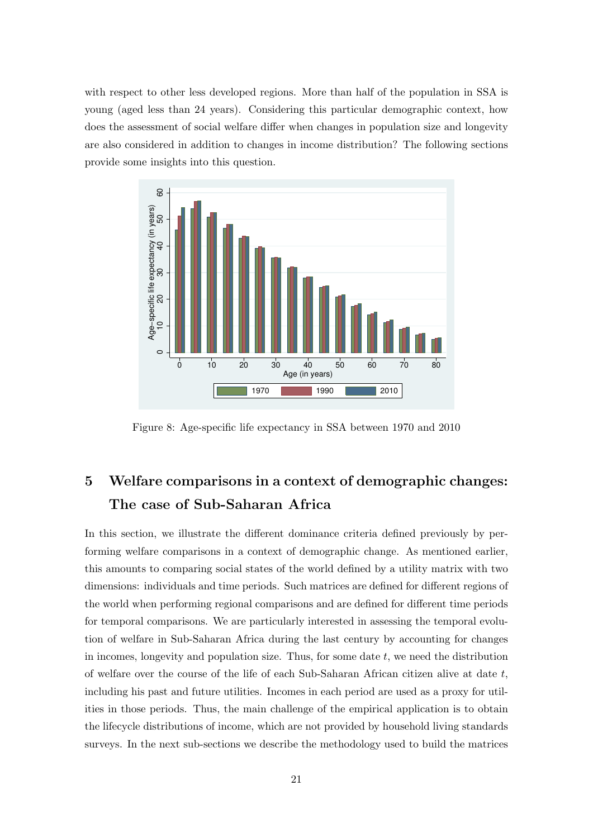with respect to other less developed regions. More than half of the population in SSA is young (aged less than 24 years). Considering this particular demographic context, how does the assessment of social welfare differ when changes in population size and longevity are also considered in addition to changes in income distribution? The following sections provide some insights into this question.

<span id="page-21-1"></span>

Figure 8: Age-specific life expectancy in SSA between 1970 and 2010

# <span id="page-21-0"></span>5 Welfare comparisons in a context of demographic changes: The case of Sub-Saharan Africa

In this section, we illustrate the different dominance criteria defined previously by performing welfare comparisons in a context of demographic change. As mentioned earlier, this amounts to comparing social states of the world defined by a utility matrix with two dimensions: individuals and time periods. Such matrices are defined for different regions of the world when performing regional comparisons and are defined for different time periods for temporal comparisons. We are particularly interested in assessing the temporal evolution of welfare in Sub-Saharan Africa during the last century by accounting for changes in incomes, longevity and population size. Thus, for some date  $t$ , we need the distribution of welfare over the course of the life of each Sub-Saharan African citizen alive at date  $t$ , including his past and future utilities. Incomes in each period are used as a proxy for utilities in those periods. Thus, the main challenge of the empirical application is to obtain the lifecycle distributions of income, which are not provided by household living standards surveys. In the next sub-sections we describe the methodology used to build the matrices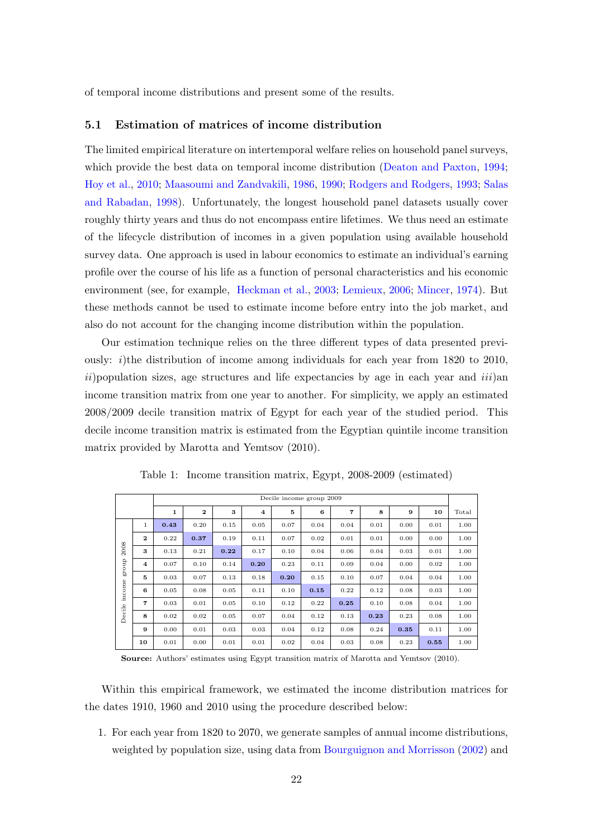of temporal income distributions and present some of the results.

# 5.1 Estimation of matrices of income distribution

The limited empirical literature on intertemporal welfare relies on household panel surveys, which provide the best data on temporal income distribution [\(Deaton and Paxton,](#page-35-9) [1994;](#page-35-9) [Hoy et al.,](#page-35-7) [2010;](#page-35-7) [Maasoumi and Zandvakili,](#page-35-8) [1986,](#page-35-8) [1990;](#page-36-4) [Rodgers and Rodgers,](#page-36-5) [1993;](#page-36-5) [Salas](#page-36-6) [and Rabadan,](#page-36-6) [1998\)](#page-36-6). Unfortunately, the longest household panel datasets usually cover roughly thirty years and thus do not encompass entire lifetimes. We thus need an estimate of the lifecycle distribution of incomes in a given population using available household survey data. One approach is used in labour economics to estimate an individual's earning profile over the course of his life as a function of personal characteristics and his economic environment (see, for example, [Heckman et al.,](#page-35-11) [2003;](#page-35-11) [Lemieux,](#page-35-12) [2006;](#page-35-12) [Mincer,](#page-36-12) [1974\)](#page-36-12). But these methods cannot be used to estimate income before entry into the job market, and also do not account for the changing income distribution within the population.

Our estimation technique relies on the three different types of data presented previously: i)the distribution of income among individuals for each year from  $1820$  to  $2010$ ,  $ii)$  population sizes, age structures and life expectancies by age in each year and  $iii)$ an income transition matrix from one year to another. For simplicity, we apply an estimated 2008/2009 decile transition matrix of Egypt for each year of the studied period. This decile income transition matrix is estimated from the Egyptian quintile income transition matrix provided by Marotta and Yemtsov (2010).

|        |                         |      |              |      |                    | Decile income group 2009 |      |      |      |      |      |       |
|--------|-------------------------|------|--------------|------|--------------------|--------------------------|------|------|------|------|------|-------|
|        |                         | 1    | $\mathbf{2}$ | 3    | $\overline{\bf 4}$ | 5                        | 6    | 7    | 8    | 9    | 10   | Total |
|        | $\mathbf{1}$            | 0.43 | 0.20         | 0.15 | 0.05               | 0.07                     | 0.04 | 0.04 | 0.01 | 0.00 | 0.01 | 1.00  |
|        | $\mathbf{2}$            | 0.22 | 0.37         | 0.19 | 0.11               | 0.07                     | 0.02 | 0.01 | 0.01 | 0.00 | 0.00 | 1.00  |
| 2008   | 3                       | 0.13 | 0.21         | 0.22 | 0.17               | 0.10                     | 0.04 | 0.06 | 0.04 | 0.03 | 0.01 | 1.00  |
| dno.18 | $\overline{\mathbf{4}}$ | 0.07 | 0.10         | 0.14 | 0.20               | 0.23                     | 0.11 | 0.09 | 0.04 | 0.00 | 0.02 | 1.00  |
|        | 5                       | 0.03 | 0.07         | 0.13 | 0.18               | 0.20                     | 0.15 | 0.10 | 0.07 | 0.04 | 0.04 | 1.00  |
| income | 6                       | 0.05 | 0.08         | 0.05 | 0.11               | 0.10                     | 0.15 | 0.22 | 0.12 | 0.08 | 0.03 | 1.00  |
|        | 7                       | 0.03 | 0.01         | 0.05 | 0.10               | 0.12                     | 0.22 | 0.25 | 0.10 | 0.08 | 0.04 | 1.00  |
| Decile | 8                       | 0.02 | 0.02         | 0.05 | 0.07               | 0.04                     | 0.12 | 0.13 | 0.23 | 0.23 | 0.08 | 1.00  |
|        | 9                       | 0.00 | 0.01         | 0.03 | 0.03               | 0.04                     | 0.12 | 0.08 | 0.24 | 0.35 | 0.11 | 1.00  |
|        | 10                      | 0.01 | 0.00         | 0.01 | 0.01               | 0.02                     | 0.04 | 0.03 | 0.08 | 0.23 | 0.55 | 1.00  |

Table 1: Income transition matrix, Egypt, 2008-2009 (estimated)

Source: Authors' estimates using Egypt transition matrix of Marotta and Yemtsov (2010).

Within this empirical framework, we estimated the income distribution matrices for the dates 1910, 1960 and 2010 using the procedure described below:

1. For each year from 1820 to 2070, we generate samples of annual income distributions, weighted by population size, using data from [Bourguignon and Morrisson](#page-34-10) [\(2002\)](#page-34-10) and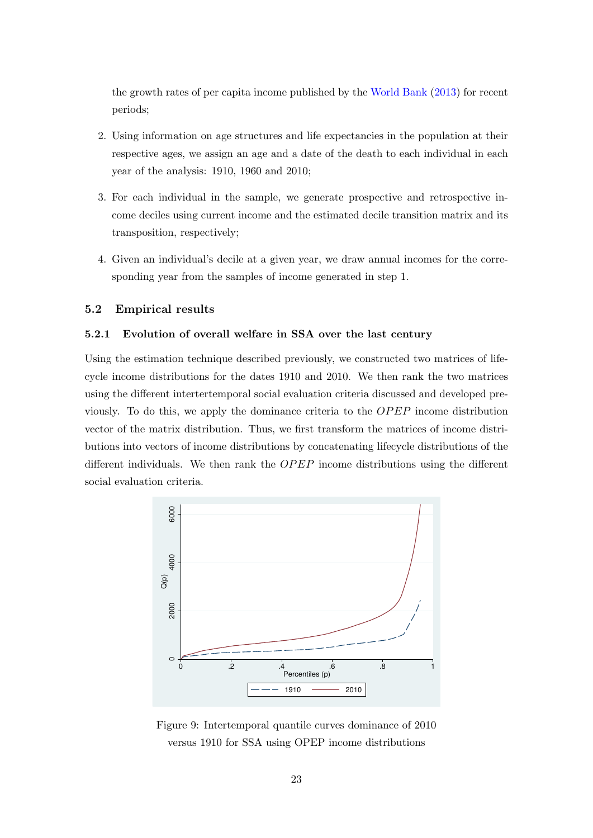the growth rates of per capita income published by the [World Bank](#page-36-7) [\(2013\)](#page-36-7) for recent periods;

- 2. Using information on age structures and life expectancies in the population at their respective ages, we assign an age and a date of the death to each individual in each year of the analysis: 1910, 1960 and 2010;
- 3. For each individual in the sample, we generate prospective and retrospective income deciles using current income and the estimated decile transition matrix and its transposition, respectively;
- 4. Given an individual's decile at a given year, we draw annual incomes for the corresponding year from the samples of income generated in step 1.

# 5.2 Empirical results

# 5.2.1 Evolution of overall welfare in SSA over the last century

Using the estimation technique described previously, we constructed two matrices of lifecycle income distributions for the dates 1910 and 2010. We then rank the two matrices using the different intertertemporal social evaluation criteria discussed and developed previously. To do this, we apply the dominance criteria to the  $OPEP$  income distribution vector of the matrix distribution. Thus, we first transform the matrices of income distributions into vectors of income distributions by concatenating lifecycle distributions of the different individuals. We then rank the  $OPEP$  income distributions using the different social evaluation criteria.

<span id="page-23-0"></span>

Figure 9: Intertemporal quantile curves dominance of 2010 versus 1910 for SSA using OPEP income distributions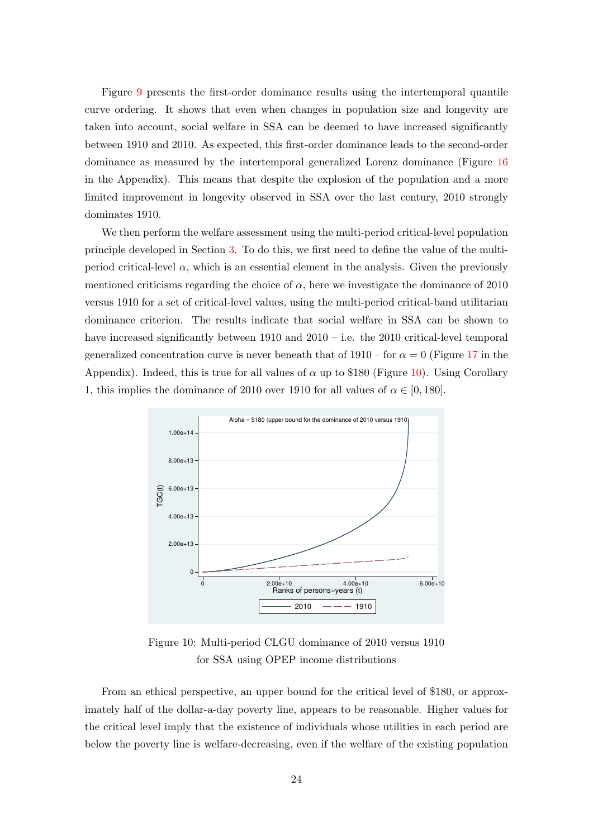Figure [9](#page-23-0) presents the first-order dominance results using the intertemporal quantile curve ordering. It shows that even when changes in population size and longevity are taken into account, social welfare in SSA can be deemed to have increased significantly between 1910 and 2010. As expected, this first-order dominance leads to the second-order dominance as measured by the intertemporal generalized Lorenz dominance (Figure [16](#page-32-0) in the Appendix). This means that despite the explosion of the population and a more limited improvement in longevity observed in SSA over the last century, 2010 strongly dominates 1910.

We then perform the welfare assessment using the multi-period critical-level population principle developed in Section [3.](#page-9-0) To do this, we first need to define the value of the multiperiod critical-level  $\alpha$ , which is an essential element in the analysis. Given the previously mentioned criticisms regarding the choice of  $\alpha$ , here we investigate the dominance of 2010 versus 1910 for a set of critical-level values, using the multi-period critical-band utilitarian dominance criterion. The results indicate that social welfare in SSA can be shown to have increased significantly between 1910 and 2010 – i.e. the 2010 critical-level temporal generalized concentration curve is never beneath that of  $1910 -$  for  $\alpha = 0$  (Figure [17](#page-32-1) in the Appendix). Indeed, this is true for all values of  $\alpha$  up to \$180 (Figure [10\)](#page-24-0). Using Corollary 1, this implies the dominance of 2010 over 1910 for all values of  $\alpha \in [0, 180]$ .

<span id="page-24-0"></span>

Figure 10: Multi-period CLGU dominance of 2010 versus 1910 for SSA using OPEP income distributions

From an ethical perspective, an upper bound for the critical level of \$180, or approximately half of the dollar-a-day poverty line, appears to be reasonable. Higher values for the critical level imply that the existence of individuals whose utilities in each period are below the poverty line is welfare-decreasing, even if the welfare of the existing population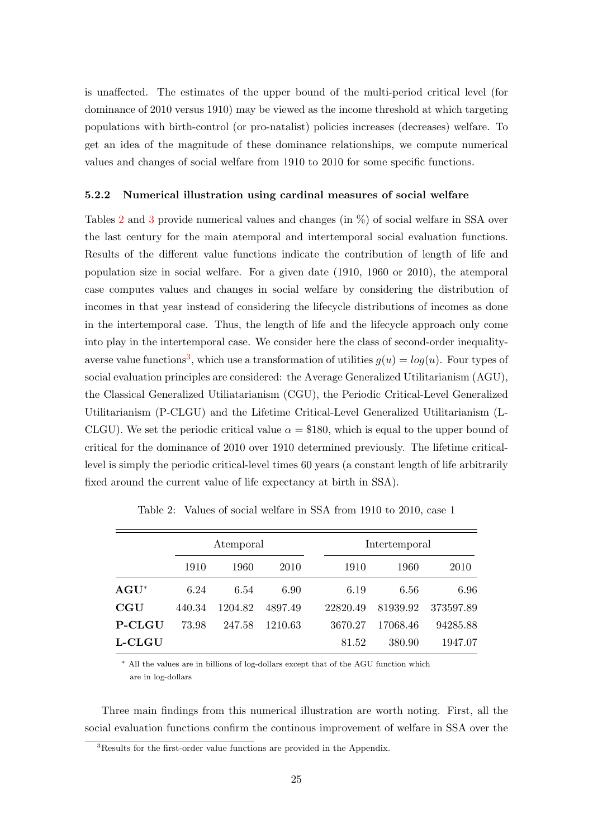is unaffected. The estimates of the upper bound of the multi-period critical level (for dominance of 2010 versus 1910) may be viewed as the income threshold at which targeting populations with birth-control (or pro-natalist) policies increases (decreases) welfare. To get an idea of the magnitude of these dominance relationships, we compute numerical values and changes of social welfare from 1910 to 2010 for some specific functions.

#### 5.2.2 Numerical illustration using cardinal measures of social welfare

Tables [2](#page-25-0) and [3](#page-26-0) provide numerical values and changes (in %) of social welfare in SSA over the last century for the main atemporal and intertemporal social evaluation functions. Results of the different value functions indicate the contribution of length of life and population size in social welfare. For a given date (1910, 1960 or 2010), the atemporal case computes values and changes in social welfare by considering the distribution of incomes in that year instead of considering the lifecycle distributions of incomes as done in the intertemporal case. Thus, the length of life and the lifecycle approach only come into play in the intertemporal case. We consider here the class of second-order inequality-averse value functions<sup>[3](#page-25-1)</sup>, which use a transformation of utilities  $g(u) = log(u)$ . Four types of social evaluation principles are considered: the Average Generalized Utilitarianism (AGU), the Classical Generalized Utiliatarianism (CGU), the Periodic Critical-Level Generalized Utilitarianism (P-CLGU) and the Lifetime Critical-Level Generalized Utilitarianism (L-CLGU). We set the periodic critical value  $\alpha = $180$ , which is equal to the upper bound of critical for the dominance of 2010 over 1910 determined previously. The lifetime criticallevel is simply the periodic critical-level times 60 years (a constant length of life arbitrarily fixed around the current value of life expectancy at birth in SSA).

<span id="page-25-0"></span>

|               |        | Atemporal |         |          | Intertemporal |           |  |  |
|---------------|--------|-----------|---------|----------|---------------|-----------|--|--|
|               | 1910   | 1960      | 2010    | 1910     | 1960          | 2010      |  |  |
| $AGU^*$       | 6.24   | 6.54      | 6.90    | 6.19     | 6.56          | 6.96      |  |  |
| $_{\rm CGU}$  | 440.34 | 1204.82   | 4897.49 | 22820.49 | 81939.92      | 373597.89 |  |  |
| <b>P-CLGU</b> | 73.98  | 247.58    | 1210.63 | 3670.27  | 17068.46      | 94285.88  |  |  |
| L-CLGU        |        |           |         | 81.52    | 380.90        | 1947.07   |  |  |

Table 2: Values of social welfare in SSA from 1910 to 2010, case 1

<sup>∗</sup> All the values are in billions of log-dollars except that of the AGU function which are in log-dollars

Three main findings from this numerical illustration are worth noting. First, all the social evaluation functions confirm the continous improvement of welfare in SSA over the

<span id="page-25-1"></span><sup>&</sup>lt;sup>3</sup>Results for the first-order value functions are provided in the Appendix.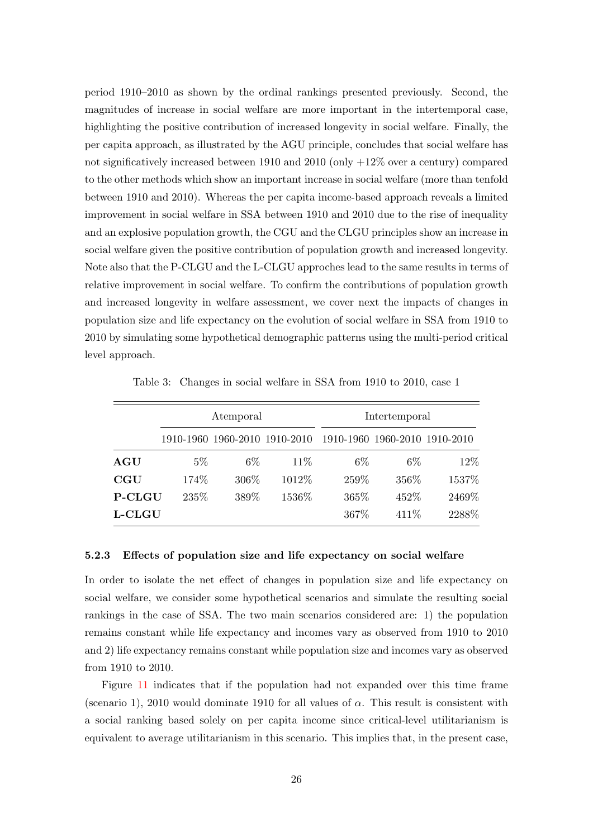period 1910–2010 as shown by the ordinal rankings presented previously. Second, the magnitudes of increase in social welfare are more important in the intertemporal case, highlighting the positive contribution of increased longevity in social welfare. Finally, the per capita approach, as illustrated by the AGU principle, concludes that social welfare has not significatively increased between 1910 and 2010 (only +12% over a century) compared to the other methods which show an important increase in social welfare (more than tenfold between 1910 and 2010). Whereas the per capita income-based approach reveals a limited improvement in social welfare in SSA between 1910 and 2010 due to the rise of inequality and an explosive population growth, the CGU and the CLGU principles show an increase in social welfare given the positive contribution of population growth and increased longevity. Note also that the P-CLGU and the L-CLGU approches lead to the same results in terms of relative improvement in social welfare. To confirm the contributions of population growth and increased longevity in welfare assessment, we cover next the impacts of changes in population size and life expectancy on the evolution of social welfare in SSA from 1910 to 2010 by simulating some hypothetical demographic patterns using the multi-period critical level approach.

<span id="page-26-0"></span>

|               |       | Atemporal |                               | Intertemporal                 |       |        |  |  |
|---------------|-------|-----------|-------------------------------|-------------------------------|-------|--------|--|--|
|               |       |           | 1910-1960 1960-2010 1910-2010 | 1910-1960 1960-2010 1910-2010 |       |        |  |  |
| AGU           | $5\%$ | $6\%$     | 11\%                          | $6\%$                         | $6\%$ | 12%    |  |  |
| CGU           | 174%  | 306\%     | 1012\%                        | 259%                          | 356%  | 1537%  |  |  |
| <b>P-CLGU</b> | 235\% | 389%      | 1536%                         | 365%                          | 452%  | 2469%  |  |  |
| <b>L-CLGU</b> |       |           |                               | 367%                          | 411\% | 2288\% |  |  |

Table 3: Changes in social welfare in SSA from 1910 to 2010, case 1

#### 5.2.3 Effects of population size and life expectancy on social welfare

In order to isolate the net effect of changes in population size and life expectancy on social welfare, we consider some hypothetical scenarios and simulate the resulting social rankings in the case of SSA. The two main scenarios considered are: 1) the population remains constant while life expectancy and incomes vary as observed from 1910 to 2010 and 2) life expectancy remains constant while population size and incomes vary as observed from 1910 to 2010.

Figure [11](#page-27-0) indicates that if the population had not expanded over this time frame (scenario 1), 2010 would dominate 1910 for all values of  $\alpha$ . This result is consistent with a social ranking based solely on per capita income since critical-level utilitarianism is equivalent to average utilitarianism in this scenario. This implies that, in the present case,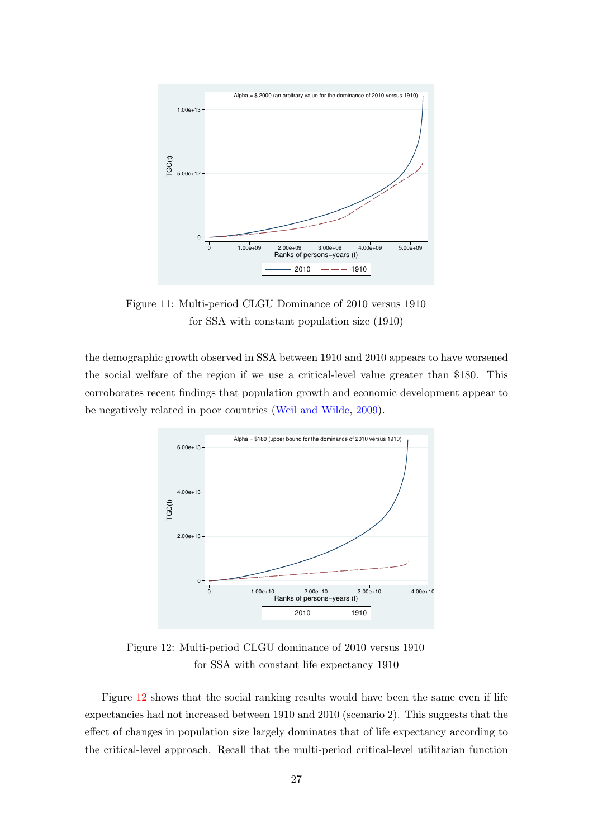<span id="page-27-0"></span>

Figure 11: Multi-period CLGU Dominance of 2010 versus 1910 for SSA with constant population size (1910)

the demographic growth observed in SSA between 1910 and 2010 appears to have worsened the social welfare of the region if we use a critical-level value greater than \$180. This corroborates recent findings that population growth and economic development appear to be negatively related in poor countries [\(Weil and Wilde,](#page-36-11) [2009\)](#page-36-11).

<span id="page-27-1"></span>

Figure 12: Multi-period CLGU dominance of 2010 versus 1910 for SSA with constant life expectancy 1910

Figure [12](#page-27-1) shows that the social ranking results would have been the same even if life expectancies had not increased between 1910 and 2010 (scenario 2). This suggests that the effect of changes in population size largely dominates that of life expectancy according to the critical-level approach. Recall that the multi-period critical-level utilitarian function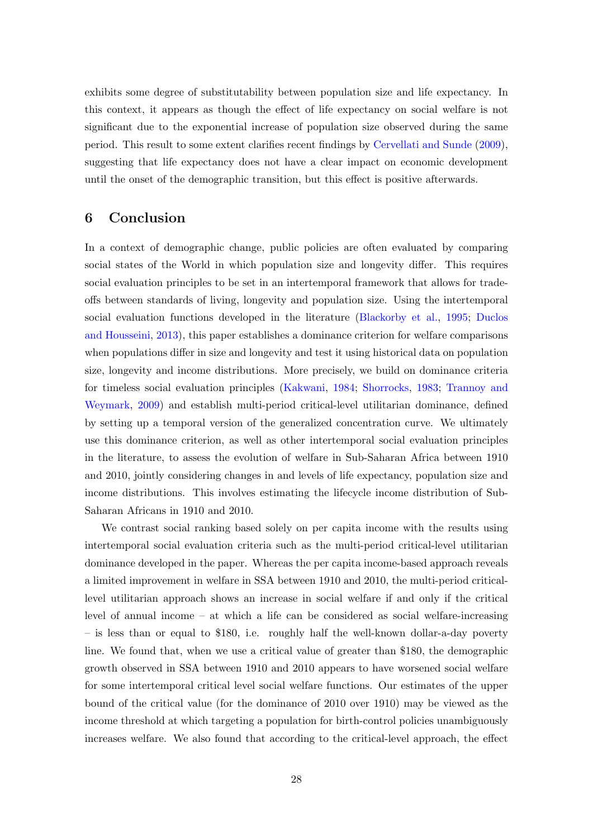exhibits some degree of substitutability between population size and life expectancy. In this context, it appears as though the effect of life expectancy on social welfare is not significant due to the exponential increase of population size observed during the same period. This result to some extent clarifies recent findings by [Cervellati and Sunde](#page-34-12) [\(2009\)](#page-34-12), suggesting that life expectancy does not have a clear impact on economic development until the onset of the demographic transition, but this effect is positive afterwards.

# <span id="page-28-0"></span>6 Conclusion

In a context of demographic change, public policies are often evaluated by comparing social states of the World in which population size and longevity differ. This requires social evaluation principles to be set in an intertemporal framework that allows for tradeoffs between standards of living, longevity and population size. Using the intertemporal social evaluation functions developed in the literature [\(Blackorby et al.,](#page-34-13) [1995;](#page-34-13) [Duclos](#page-35-3) [and Housseini,](#page-35-3) [2013\)](#page-35-3), this paper establishes a dominance criterion for welfare comparisons when populations differ in size and longevity and test it using historical data on population size, longevity and income distributions. More precisely, we build on dominance criteria for timeless social evaluation principles [\(Kakwani,](#page-35-1) [1984;](#page-35-1) [Shorrocks,](#page-36-1) [1983;](#page-36-1) [Trannoy and](#page-36-2) [Weymark,](#page-36-2) [2009\)](#page-36-2) and establish multi-period critical-level utilitarian dominance, defined by setting up a temporal version of the generalized concentration curve. We ultimately use this dominance criterion, as well as other intertemporal social evaluation principles in the literature, to assess the evolution of welfare in Sub-Saharan Africa between 1910 and 2010, jointly considering changes in and levels of life expectancy, population size and income distributions. This involves estimating the lifecycle income distribution of Sub-Saharan Africans in 1910 and 2010.

We contrast social ranking based solely on per capita income with the results using intertemporal social evaluation criteria such as the multi-period critical-level utilitarian dominance developed in the paper. Whereas the per capita income-based approach reveals a limited improvement in welfare in SSA between 1910 and 2010, the multi-period criticallevel utilitarian approach shows an increase in social welfare if and only if the critical level of annual income – at which a life can be considered as social welfare-increasing – is less than or equal to \$180, i.e. roughly half the well-known dollar-a-day poverty line. We found that, when we use a critical value of greater than \$180, the demographic growth observed in SSA between 1910 and 2010 appears to have worsened social welfare for some intertemporal critical level social welfare functions. Our estimates of the upper bound of the critical value (for the dominance of 2010 over 1910) may be viewed as the income threshold at which targeting a population for birth-control policies unambiguously increases welfare. We also found that according to the critical-level approach, the effect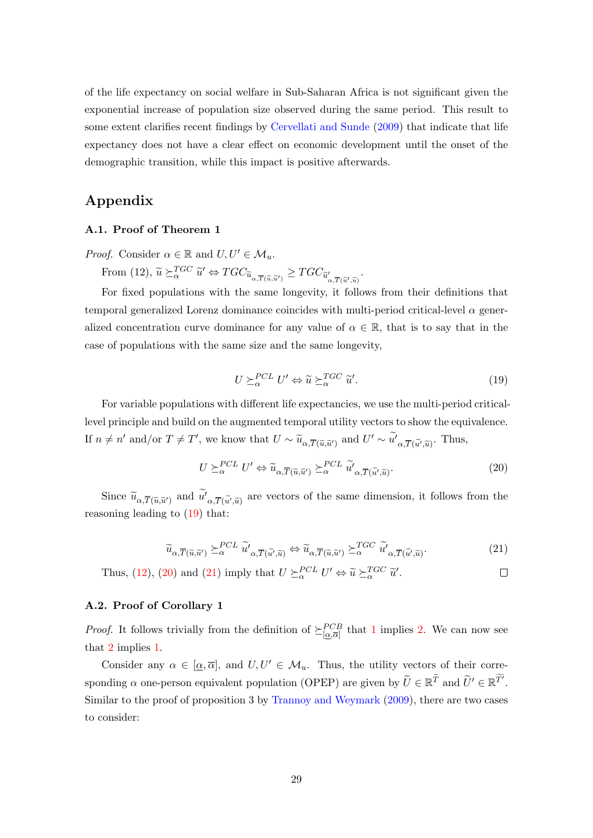of the life expectancy on social welfare in Sub-Saharan Africa is not significant given the exponential increase of population size observed during the same period. This result to some extent clarifies recent findings by [Cervellati and Sunde](#page-34-12) [\(2009\)](#page-34-12) that indicate that life expectancy does not have a clear effect on economic development until the onset of the demographic transition, while this impact is positive afterwards.

# Appendix

# A.1. Proof of Theorem 1

*Proof.* Consider  $\alpha \in \mathbb{R}$  and  $U, U' \in \mathcal{M}_u$ .

From (12),  $\widetilde{u} \succeq_{\alpha}^{TGC} \widetilde{u}' \Leftrightarrow TGC_{\widetilde{u}_{\alpha,\overline{T}(\widetilde{u},\widetilde{u}' )}} \geq TGC_{\widetilde{u}'_{\alpha,\overline{T}(\widetilde{u}',\widetilde{u}' )}}$ .

For fixed populations with the same longevity, it follows from their definitions that temporal generalized Lorenz dominance coincides with multi-period critical-level  $\alpha$  generalized concentration curve dominance for any value of  $\alpha \in \mathbb{R}$ , that is to say that in the case of populations with the same size and the same longevity,

<span id="page-29-1"></span>
$$
U \succeq_{\alpha}^{PCL} U' \Leftrightarrow \widetilde{u} \succeq_{\alpha}^{TGC} \widetilde{u}'. \tag{19}
$$

<span id="page-29-0"></span>For variable populations with different life expectancies, we use the multi-period criticallevel principle and build on the augmented temporal utility vectors to show the equivalence. If  $n \neq n'$  and/or  $T \neq T'$ , we know that  $U \sim \widetilde{u}_{\alpha, \overline{T}(\widetilde{u}, \widetilde{u}')}$  and  $U' \sim \widetilde{u'}_{\alpha, \overline{T}(\widetilde{u'}, \widetilde{u})}$ . Thus,

$$
U \succeq_{\alpha}^{PCL} U' \Leftrightarrow \widetilde{u}_{\alpha, \overline{T}(\widetilde{u}, \widetilde{u}')} \succeq_{\alpha}^{PCL} \widetilde{u}'_{\alpha, \overline{T}(\widetilde{u}', \widetilde{u})}. \tag{20}
$$

<span id="page-29-2"></span>Since  $\widetilde{u}_{\alpha,\overline{T}(\widetilde{u},\widetilde{u}')}$  and  $u'_{\alpha,\overline{T}(\widetilde{u}',\widetilde{u})}$  are vectors of the same dimension, it follows from the reasoning leading to [\(19\)](#page-29-0) that:

$$
\widetilde{u}_{\alpha,\overline{T}(\widetilde{u},\widetilde{u}')} \succeq_{\alpha}^{PCL} \widetilde{u'}_{\alpha,\overline{T}(\widetilde{u'},\widetilde{u})} \Leftrightarrow \widetilde{u}_{\alpha,\overline{T}(\widetilde{u},\widetilde{u}')} \succeq_{\alpha}^{TGC} \widetilde{u'}_{\alpha,\overline{T}(\widetilde{u'},\widetilde{u})}.
$$
\n(21)

Thus, [\(12\)](#page-13-0), [\(20\)](#page-29-1) and [\(21\)](#page-29-2) imply that  $U \succeq_{\alpha}^{PCL} U' \Leftrightarrow \tilde{u} \succeq_{\alpha}^{TGC} \tilde{u}'.$  $\Box$ 

## A.2. Proof of Corollary 1

*Proof.* It follows trivially from the definition of  $\geq \lfloor \alpha, \overline{\alpha} \rfloor$  that [1](#page-16-1) implies [2.](#page-16-2) We can now see that [2](#page-16-2) implies [1.](#page-16-1)

Consider any  $\alpha \in [\alpha, \overline{\alpha}]$ , and  $U, U' \in \mathcal{M}_u$ . Thus, the utility vectors of their corresponding  $\alpha$  one-person equivalent population (OPEP) are given by  $\tilde{U} \in \mathbb{R}^{\overline{T}}$  and  $\tilde{U}' \in \mathbb{R}^{\overline{T'}}$ . Similar to the proof of proposition 3 by [Trannoy and Weymark](#page-36-2) [\(2009\)](#page-36-2), there are two cases to consider: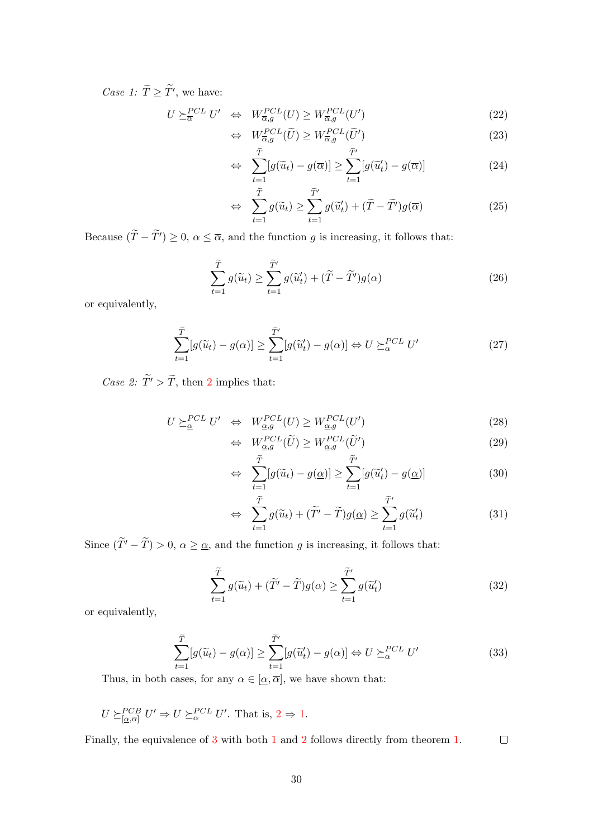Case 1:  $T \geq T'$ , we have:

$$
U \succeq_{\overline{\alpha}}^{PCL} U' \Leftrightarrow W_{\overline{\alpha},g}^{PCL}(U) \ge W_{\overline{\alpha},g}^{PCL}(U') \tag{22}
$$

$$
\Leftrightarrow \quad W_{\overline{\alpha},g}^{PCL}(\widetilde{U}) \ge W_{\overline{\alpha},g}^{PCL}(\widetilde{U}')
$$
\n
$$
\widetilde{\tau}
$$
\n
$$
\widetilde{\tau}
$$
\n(23)

$$
\Leftrightarrow \sum_{t=1}^{\widetilde{T}} [g(\widetilde{u}_t) - g(\overline{\alpha})] \ge \sum_{t=1}^{\widetilde{T}'} [g(\widetilde{u}'_t) - g(\overline{\alpha})]
$$
(24)

$$
\Leftrightarrow \sum_{t=1}^{\widetilde{T}} g(\widetilde{u}_t) \ge \sum_{t=1}^{\widetilde{T}'} g(\widetilde{u}'_t) + (\widetilde{T} - \widetilde{T}')g(\overline{\alpha}) \tag{25}
$$

Because  $(\tilde{T}-\tilde{T}')\geq0, \alpha\leq\overline{\alpha}$ , and the function g is increasing, it follows that:

$$
\sum_{t=1}^{\widetilde{T}} g(\widetilde{u}_t) \ge \sum_{t=1}^{\widetilde{T}'} g(\widetilde{u}'_t) + (\widetilde{T} - \widetilde{T}')g(\alpha) \tag{26}
$$

or equivalently,

$$
\sum_{t=1}^{\widetilde{T}} [g(\widetilde{u}_t) - g(\alpha)] \ge \sum_{t=1}^{\widetilde{T}'} [g(\widetilde{u}'_t) - g(\alpha)] \Leftrightarrow U \succeq_{\alpha}^{PCL} U'
$$
\n(27)

Case [2](#page-16-2):  $\widetilde{T}' > \widetilde{T}$ , then 2 implies that:

$$
U \succeq_{\underline{\alpha}}^{PCL} U' \Leftrightarrow W_{\underline{\alpha},g}^{PCL}(U) \ge W_{\underline{\alpha},g}^{PCL}(U')
$$
\n(28)

$$
\Leftrightarrow \quad W_{\underline{\alpha},g}^{PCL}(\widetilde{U}) \ge W_{\underline{\alpha},g}^{PCL}(\widetilde{U}')
$$
\n
$$
\widetilde{\Xi} \tag{29}
$$

$$
\Leftrightarrow \sum_{t=1}^{\widetilde{T}} [g(\widetilde{u}_t) - g(\underline{\alpha})] \ge \sum_{t=1}^{\widetilde{T}'} [g(\widetilde{u}'_t) - g(\underline{\alpha})]
$$
(30)

$$
\Leftrightarrow \sum_{t=1}^{\widetilde{T}} g(\widetilde{u}_t) + (\widetilde{T}' - \widetilde{T})g(\underline{\alpha}) \ge \sum_{t=1}^{\widetilde{T}'} g(\widetilde{u}'_t)
$$
\n(31)

Since  $(\tilde{T'} - \tilde{T}) > 0$ ,  $\alpha \geq \underline{\alpha}$ , and the function g is increasing, it follows that:

$$
\sum_{t=1}^{\widetilde{T}} g(\widetilde{u}_t) + (\widetilde{T}' - \widetilde{T})g(\alpha) \ge \sum_{t=1}^{\widetilde{T}'} g(\widetilde{u}'_t)
$$
\n(32)

or equivalently,

$$
\sum_{t=1}^{\widetilde{T}} [g(\widetilde{u}_t) - g(\alpha)] \ge \sum_{t=1}^{\widetilde{T}'} [g(\widetilde{u}'_t) - g(\alpha)] \Leftrightarrow U \succeq_{\alpha}^{PCL} U'
$$
\n(33)

Thus, in both cases, for any  $\alpha \in [\underline{\alpha}, \overline{\alpha}]$ , we have shown that:

$$
U \succeq_{[\underline{\alpha},\overline{\alpha}]}^{PCB} U' \Rightarrow U \succeq_{\alpha}^{PCL} U'. \text{ That is, } 2 \Rightarrow 1.
$$

Finally, the equivalence of [3](#page-16-3) with both [1](#page-16-1) and [2](#page-16-2) follows directly from theorem [1.](#page-14-0)  $\Box$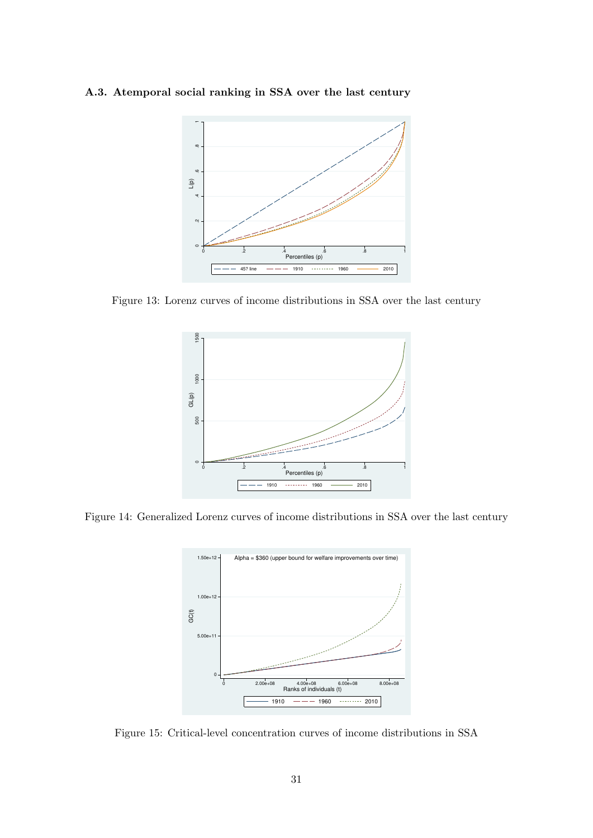# <span id="page-31-0"></span>A.3. Atemporal social ranking in SSA over the last century



<span id="page-31-1"></span>Figure 13: Lorenz curves of income distributions in SSA over the last century



<span id="page-31-2"></span>Figure 14: Generalized Lorenz curves of income distributions in SSA over the last century



Figure 15: Critical-level concentration curves of income distributions in SSA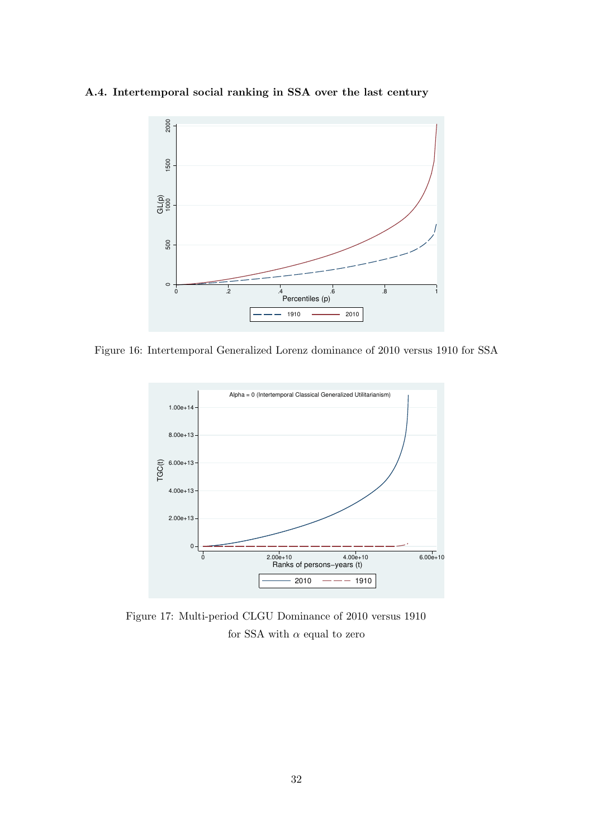# <span id="page-32-0"></span>A.4. Intertemporal social ranking in SSA over the last century



<span id="page-32-1"></span>Figure 16: Intertemporal Generalized Lorenz dominance of 2010 versus 1910 for SSA



Figure 17: Multi-period CLGU Dominance of 2010 versus 1910 for SSA with  $\alpha$  equal to zero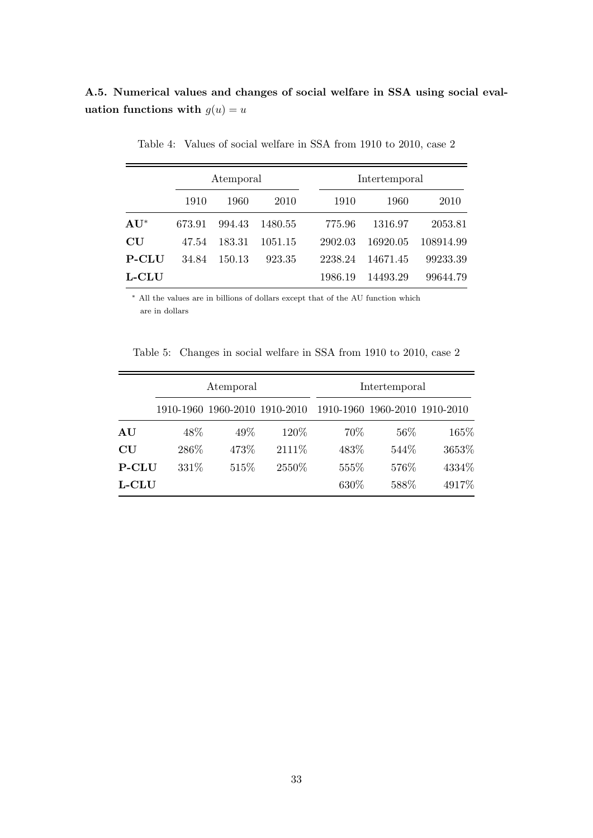# A.5. Numerical values and changes of social welfare in SSA using social evaluation functions with  $g(u) = u$

|                          |        | Atemporal |         |         | Intertemporal |           |
|--------------------------|--------|-----------|---------|---------|---------------|-----------|
|                          | 1910   | 1960      | 2010    | 1910    | 1960          | 2010      |
| $\mathbf{A}\mathbf{U}^*$ | 673.91 | 994.43    | 1480.55 | 775.96  | 1316.97       | 2053.81   |
| CU                       | 47.54  | 183.31    | 1051.15 | 2902.03 | 16920.05      | 108914.99 |
| <b>P-CLU</b>             | 34.84  | 150.13    | 923.35  | 2238.24 | 14671.45      | 99233.39  |
| <b>L-CLU</b>             |        |           |         | 1986.19 | 14493.29      | 99644.79  |

Table 4: Values of social welfare in SSA from 1910 to 2010, case 2

<sup>∗</sup> All the values are in billions of dollars except that of the AU function which are in dollars

Table 5: Changes in social welfare in SSA from 1910 to 2010, case 2

|                        |       | Atemporal |                               | Intertemporal                 |       |       |  |  |
|------------------------|-------|-----------|-------------------------------|-------------------------------|-------|-------|--|--|
|                        |       |           | 1910-1960 1960-2010 1910-2010 | 1910-1960 1960-2010 1910-2010 |       |       |  |  |
| ${\bf AU}$             | 48\%  | 49%       | 120%                          | 70%                           | 56\%  | 165%  |  |  |
| $\mathbf{C}\mathbf{U}$ | 286\% | 473%      | 2111\%                        | 483%                          | 544\% | 3653% |  |  |
| <b>P-CLU</b>           | 331\% | 515\%     | 2550\%                        | 555%                          | 576%  | 4334% |  |  |
| L-CLU                  |       |           |                               | 630%                          | 588%  | 4917% |  |  |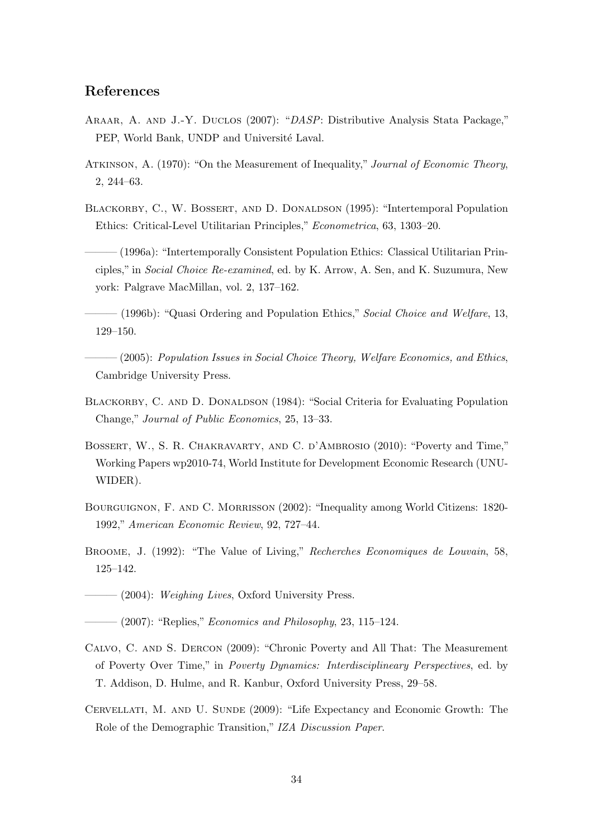# References

- <span id="page-34-11"></span>Araar, A. and J.-Y. Duclos (2007): "DASP: Distributive Analysis Stata Package," PEP, World Bank, UNDP and Université Laval.
- <span id="page-34-0"></span>Atkinson, A. (1970): "On the Measurement of Inequality," Journal of Economic Theory, 2, 244–63.
- <span id="page-34-13"></span>BLACKORBY, C., W. BOSSERT, AND D. DONALDSON (1995): "Intertemporal Population Ethics: Critical-Level Utilitarian Principles," Econometrica, 63, 1303–20.
- <span id="page-34-5"></span>——— (1996a): "Intertemporally Consistent Population Ethics: Classical Utilitarian Principles," in Social Choice Re-examined, ed. by K. Arrow, A. Sen, and K. Suzumura, New york: Palgrave MacMillan, vol. 2, 137–162.
- <span id="page-34-6"></span> $-$  (1996b): "Quasi Ordering and Population Ethics," Social Choice and Welfare, 13, 129–150.
- <span id="page-34-1"></span> $-(2005)$ : Population Issues in Social Choice Theory, Welfare Economics, and Ethics, Cambridge University Press.
- <span id="page-34-2"></span>BLACKORBY, C. AND D. DONALDSON (1984): "Social Criteria for Evaluating Population Change," Journal of Public Economics, 25, 13–33.
- <span id="page-34-3"></span>Bossert, W., S. R. Chakravarty, and C. d'Ambrosio (2010): "Poverty and Time," Working Papers wp2010-74, World Institute for Development Economic Research (UNU-WIDER).
- <span id="page-34-10"></span>Bourguignon, F. and C. Morrisson (2002): "Inequality among World Citizens: 1820- 1992," American Economic Review, 92, 727–44.
- <span id="page-34-7"></span>BROOME, J. (1992): "The Value of Living," Recherches Economiques de Louvain, 58, 125–142.
- <span id="page-34-8"></span> $-$  (2004): *Weighing Lives*, Oxford University Press.
- <span id="page-34-9"></span> $-(2007)$ : "Replies," *Economics and Philosophy*, 23, 115–124.
- <span id="page-34-4"></span>Calvo, C. and S. Dercon (2009): "Chronic Poverty and All That: The Measurement of Poverty Over Time," in Poverty Dynamics: Interdisciplineary Perspectives, ed. by T. Addison, D. Hulme, and R. Kanbur, Oxford University Press, 29–58.
- <span id="page-34-12"></span>CERVELLATI, M. AND U. SUNDE (2009): "Life Expectancy and Economic Growth: The Role of the Demographic Transition," IZA Discussion Paper.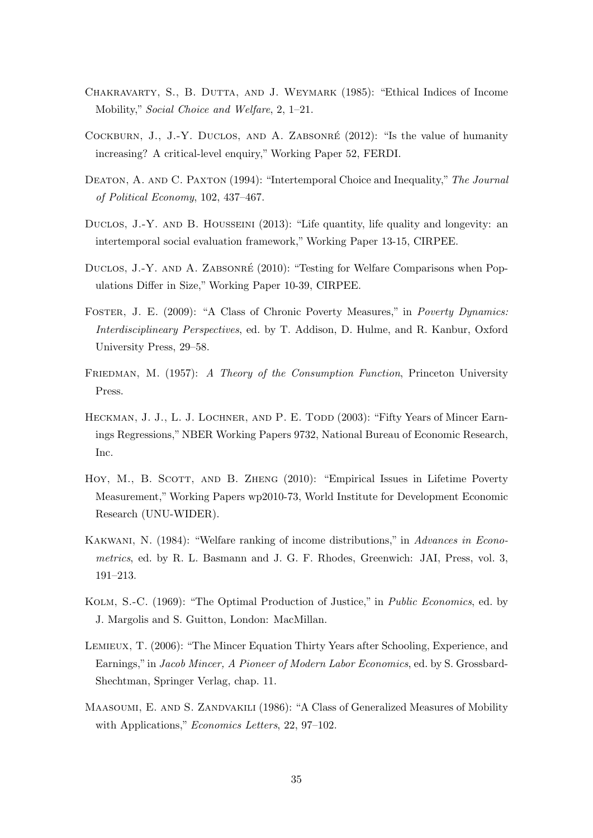- <span id="page-35-5"></span>CHAKRAVARTY, S., B. DUTTA, AND J. WEYMARK (1985): "Ethical Indices of Income Mobility," Social Choice and Welfare, 2, 1–21.
- <span id="page-35-4"></span>COCKBURN, J., J.-Y. DUCLOS, AND A. ZABSONRÉ (2012): "Is the value of humanity increasing? A critical-level enquiry," Working Paper 52, FERDI.
- <span id="page-35-9"></span>Deaton, A. and C. Paxton (1994): "Intertemporal Choice and Inequality," The Journal of Political Economy, 102, 437–467.
- <span id="page-35-3"></span>DUCLOS, J.-Y. AND B. HOUSSEINI (2013): "Life quantity, life quality and longevity: an intertemporal social evaluation framework," Working Paper 13-15, CIRPEE.
- <span id="page-35-2"></span>DUCLOS, J.-Y. AND A. ZABSONRÉ (2010): "Testing for Welfare Comparisons when Populations Differ in Size," Working Paper 10-39, CIRPEE.
- <span id="page-35-6"></span>Foster, J. E. (2009): "A Class of Chronic Poverty Measures," in Poverty Dynamics: Interdisciplineary Perspectives, ed. by T. Addison, D. Hulme, and R. Kanbur, Oxford University Press, 29–58.
- <span id="page-35-10"></span>FRIEDMAN, M. (1957): A Theory of the Consumption Function, Princeton University Press.
- <span id="page-35-11"></span>HECKMAN, J. J., L. J. LOCHNER, AND P. E. TODD (2003): "Fifty Years of Mincer Earnings Regressions," NBER Working Papers 9732, National Bureau of Economic Research, Inc.
- <span id="page-35-7"></span>HOY, M., B. SCOTT, AND B. ZHENG (2010): "Empirical Issues in Lifetime Poverty Measurement," Working Papers wp2010-73, World Institute for Development Economic Research (UNU-WIDER).
- <span id="page-35-1"></span>Kakwani, N. (1984): "Welfare ranking of income distributions," in Advances in Econometrics, ed. by R. L. Basmann and J. G. F. Rhodes, Greenwich: JAI, Press, vol. 3, 191–213.
- <span id="page-35-0"></span>Kolm, S.-C. (1969): "The Optimal Production of Justice," in Public Economics, ed. by J. Margolis and S. Guitton, London: MacMillan.
- <span id="page-35-12"></span>Lemieux, T. (2006): "The Mincer Equation Thirty Years after Schooling, Experience, and Earnings,"in Jacob Mincer, A Pioneer of Modern Labor Economics, ed. by S. Grossbard-Shechtman, Springer Verlag, chap. 11.
- <span id="page-35-8"></span>MAASOUMI, E. AND S. ZANDVAKILI (1986): "A Class of Generalized Measures of Mobility with Applications," *Economics Letters*, 22, 97–102.